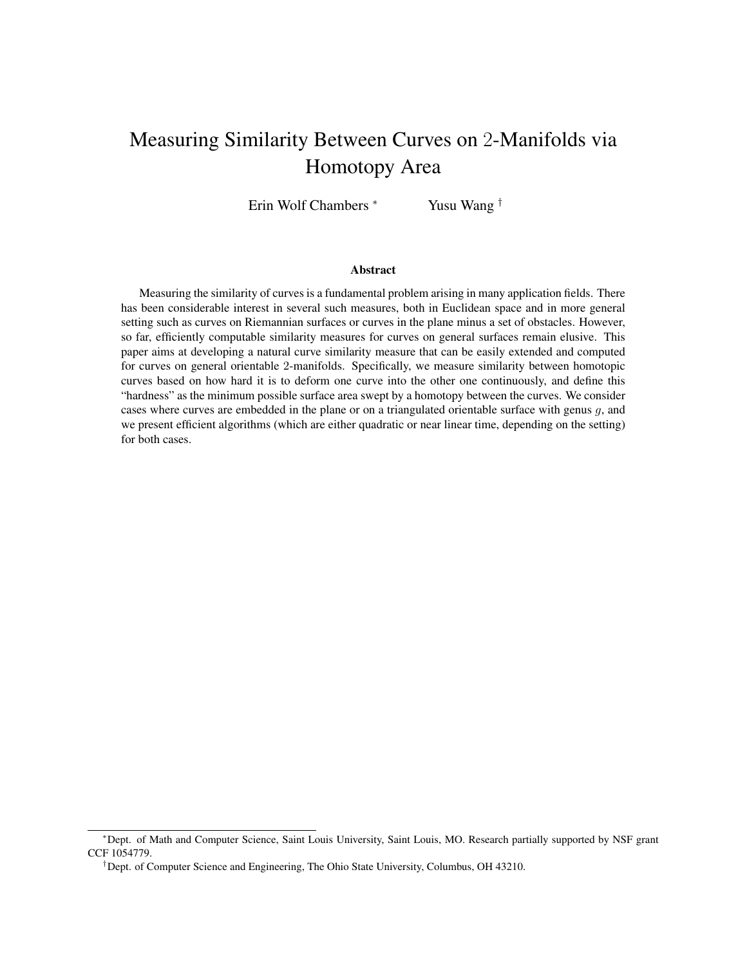# Measuring Similarity Between Curves on 2-Manifolds via Homotopy Area

Erin Wolf Chambers <sup>∗</sup> Yusu Wang †

#### Abstract

Measuring the similarity of curves is a fundamental problem arising in many application fields. There has been considerable interest in several such measures, both in Euclidean space and in more general setting such as curves on Riemannian surfaces or curves in the plane minus a set of obstacles. However, so far, efficiently computable similarity measures for curves on general surfaces remain elusive. This paper aims at developing a natural curve similarity measure that can be easily extended and computed for curves on general orientable 2-manifolds. Specifically, we measure similarity between homotopic curves based on how hard it is to deform one curve into the other one continuously, and define this "hardness" as the minimum possible surface area swept by a homotopy between the curves. We consider cases where curves are embedded in the plane or on a triangulated orientable surface with genus g, and we present efficient algorithms (which are either quadratic or near linear time, depending on the setting) for both cases.

<sup>∗</sup>Dept. of Math and Computer Science, Saint Louis University, Saint Louis, MO. Research partially supported by NSF grant CCF 1054779.

<sup>†</sup>Dept. of Computer Science and Engineering, The Ohio State University, Columbus, OH 43210.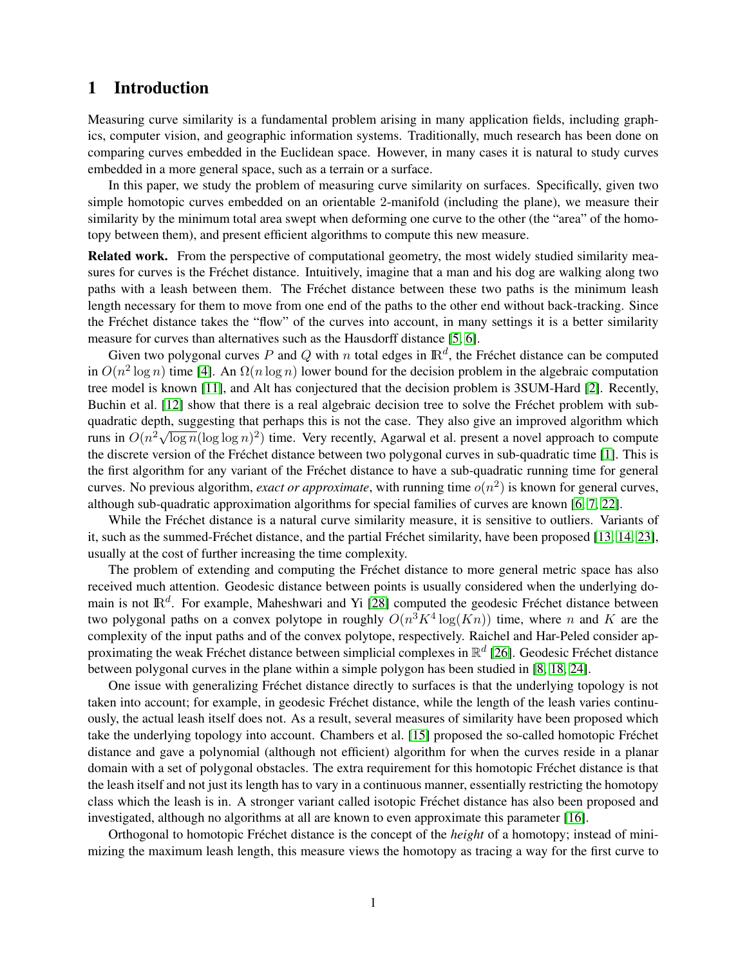# 1 Introduction

Measuring curve similarity is a fundamental problem arising in many application fields, including graphics, computer vision, and geographic information systems. Traditionally, much research has been done on comparing curves embedded in the Euclidean space. However, in many cases it is natural to study curves embedded in a more general space, such as a terrain or a surface.

In this paper, we study the problem of measuring curve similarity on surfaces. Specifically, given two simple homotopic curves embedded on an orientable 2-manifold (including the plane), we measure their similarity by the minimum total area swept when deforming one curve to the other (the "area" of the homotopy between them), and present efficient algorithms to compute this new measure.

Related work. From the perspective of computational geometry, the most widely studied similarity measures for curves is the Fréchet distance. Intuitively, imagine that a man and his dog are walking along two paths with a leash between them. The Fréchet distance between these two paths is the minimum leash length necessary for them to move from one end of the paths to the other end without back-tracking. Since the Fréchet distance takes the "flow" of the curves into account, in many settings it is a better similarity measure for curves than alternatives such as the Hausdorff distance [\[5,](#page-11-0) [6\]](#page-11-1).

Given two polygonal curves P and Q with n total edges in  $\mathbb{R}^d$ , the Fréchet distance can be computed in  $O(n^2 \log n)$  time [\[4\]](#page-11-2). An  $\Omega(n \log n)$  lower bound for the decision problem in the algebraic computation tree model is known [\[11\]](#page-11-3), and Alt has conjectured that the decision problem is 3SUM-Hard [\[2\]](#page-11-4). Recently, Buchin et al. [\[12\]](#page-11-5) show that there is a real algebraic decision tree to solve the Fréchet problem with subquadratic depth, suggesting that perhaps this is not the case. They also give an improved algorithm which runs in  $O(n^2 \sqrt{\log n} (\log \log n)^2)$  time. Very recently, Agarwal et al. present a novel approach to compute the discrete version of the Fréchet distance between two polygonal curves in sub-quadratic time [\[1\]](#page-11-6). This is the first algorithm for any variant of the Frechet distance to have a sub-quadratic running time for general ´ curves. No previous algorithm, *exact or approximate*, with running time  $o(n^2)$  is known for general curves, although sub-quadratic approximation algorithms for special families of curves are known [\[6,](#page-11-1) [7,](#page-11-7) [22\]](#page-12-0).

While the Fréchet distance is a natural curve similarity measure, it is sensitive to outliers. Variants of it, such as the summed-Fréchet distance, and the partial Fréchet similarity, have been proposed  $[13, 14, 23]$  $[13, 14, 23]$  $[13, 14, 23]$ , usually at the cost of further increasing the time complexity.

The problem of extending and computing the Fréchet distance to more general metric space has also received much attention. Geodesic distance between points is usually considered when the underlying domain is not  $\mathbb{R}^d$ . For example, Maheshwari and Yi [\[28\]](#page-12-2) computed the geodesic Fréchet distance between two polygonal paths on a convex polytope in roughly  $O(n^3 K^4 \log(Kn))$  time, where n and K are the complexity of the input paths and of the convex polytope, respectively. Raichel and Har-Peled consider approximating the weak Fréchet distance between simplicial complexes in  $\mathbb{R}^d$  [\[26\]](#page-12-3). Geodesic Fréchet distance between polygonal curves in the plane within a simple polygon has been studied in [\[8,](#page-11-10) [18,](#page-12-4) [24\]](#page-12-5).

One issue with generalizing Fréchet distance directly to surfaces is that the underlying topology is not taken into account; for example, in geodesic Fréchet distance, while the length of the leash varies continuously, the actual leash itself does not. As a result, several measures of similarity have been proposed which take the underlying topology into account. Chambers et al. [\[15\]](#page-11-11) proposed the so-called homotopic Frechet ´ distance and gave a polynomial (although not efficient) algorithm for when the curves reside in a planar domain with a set of polygonal obstacles. The extra requirement for this homotopic Fréchet distance is that the leash itself and not just its length has to vary in a continuous manner, essentially restricting the homotopy class which the leash is in. A stronger variant called isotopic Frechet distance has also been proposed and ´ investigated, although no algorithms at all are known to even approximate this parameter [\[16\]](#page-12-6).

Orthogonal to homotopic Fréchet distance is the concept of the *height* of a homotopy; instead of minimizing the maximum leash length, this measure views the homotopy as tracing a way for the first curve to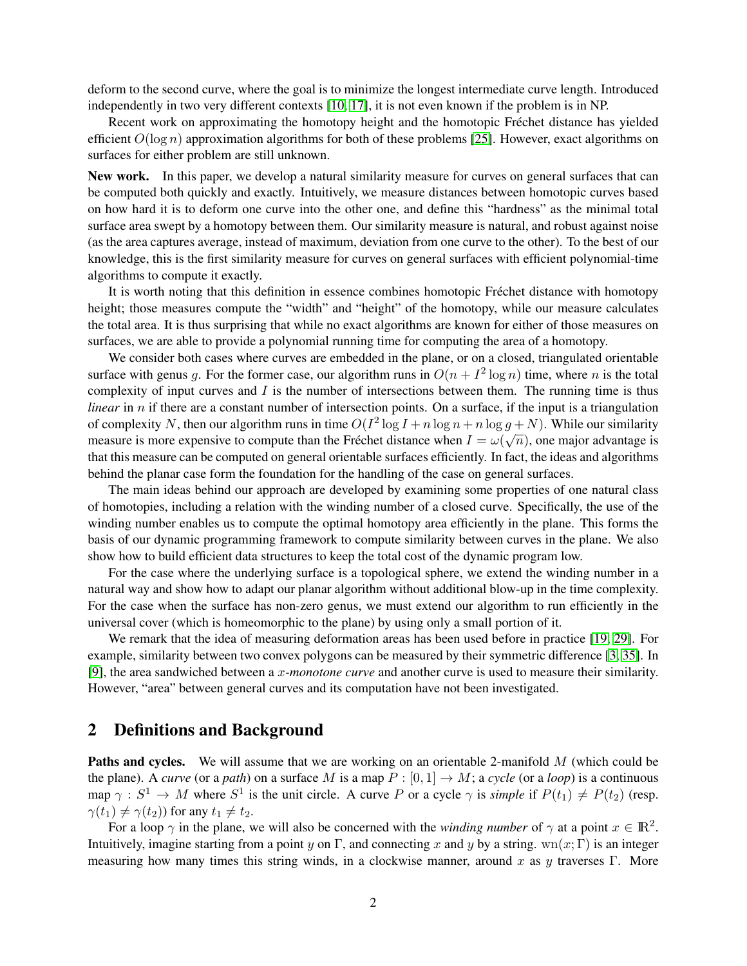deform to the second curve, where the goal is to minimize the longest intermediate curve length. Introduced independently in two very different contexts [\[10,](#page-11-12) [17\]](#page-12-7), it is not even known if the problem is in NP.

Recent work on approximating the homotopy height and the homotopic Fréchet distance has yielded efficient  $O(\log n)$  approximation algorithms for both of these problems [\[25\]](#page-12-8). However, exact algorithms on surfaces for either problem are still unknown.

New work. In this paper, we develop a natural similarity measure for curves on general surfaces that can be computed both quickly and exactly. Intuitively, we measure distances between homotopic curves based on how hard it is to deform one curve into the other one, and define this "hardness" as the minimal total surface area swept by a homotopy between them. Our similarity measure is natural, and robust against noise (as the area captures average, instead of maximum, deviation from one curve to the other). To the best of our knowledge, this is the first similarity measure for curves on general surfaces with efficient polynomial-time algorithms to compute it exactly.

It is worth noting that this definition in essence combines homotopic Frechet distance with homotopy ´ height; those measures compute the "width" and "height" of the homotopy, while our measure calculates the total area. It is thus surprising that while no exact algorithms are known for either of those measures on surfaces, we are able to provide a polynomial running time for computing the area of a homotopy.

We consider both cases where curves are embedded in the plane, or on a closed, triangulated orientable surface with genus g. For the former case, our algorithm runs in  $O(n + I^2 \log n)$  time, where n is the total complexity of input curves and  $I$  is the number of intersections between them. The running time is thus *linear* in *n* if there are a constant number of intersection points. On a surface, if the input is a triangulation of complexity N, then our algorithm runs in time  $O(I^2 \log I + n \log n + n \log g + N)$ . While our similarity measure is more expensive to compute than the Fréchet distance when  $I = \omega(\sqrt{n})$ , one major advantage is that this measure can be computed on general orientable surfaces efficiently. In fact, the ideas and algorithms behind the planar case form the foundation for the handling of the case on general surfaces.

The main ideas behind our approach are developed by examining some properties of one natural class of homotopies, including a relation with the winding number of a closed curve. Specifically, the use of the winding number enables us to compute the optimal homotopy area efficiently in the plane. This forms the basis of our dynamic programming framework to compute similarity between curves in the plane. We also show how to build efficient data structures to keep the total cost of the dynamic program low.

For the case where the underlying surface is a topological sphere, we extend the winding number in a natural way and show how to adapt our planar algorithm without additional blow-up in the time complexity. For the case when the surface has non-zero genus, we must extend our algorithm to run efficiently in the universal cover (which is homeomorphic to the plane) by using only a small portion of it.

We remark that the idea of measuring deformation areas has been used before in practice [\[19,](#page-12-9) [29\]](#page-12-10). For example, similarity between two convex polygons can be measured by their symmetric difference [\[3,](#page-11-13) [35\]](#page-13-0). In [\[9\]](#page-11-14), the area sandwiched between a x*-monotone curve* and another curve is used to measure their similarity. However, "area" between general curves and its computation have not been investigated.

### 2 Definitions and Background

Paths and cycles. We will assume that we are working on an orientable 2-manifold M (which could be the plane). A *curve* (or a *path*) on a surface M is a map  $P : [0, 1] \rightarrow M$ ; a *cycle* (or a *loop*) is a continuous map  $\gamma : S^1 \to M$  where  $S^1$  is the unit circle. A curve P or a cycle  $\gamma$  is *simple* if  $P(t_1) \neq P(t_2)$  (resp.  $\gamma(t_1) \neq \gamma(t_2)$ ) for any  $t_1 \neq t_2$ .

For a loop  $\gamma$  in the plane, we will also be concerned with the *winding number* of  $\gamma$  at a point  $x \in \mathbb{R}^2$ . Intuitively, imagine starting from a point y on Γ, and connecting x and y by a string. wn(x; Γ) is an integer measuring how many times this string winds, in a clockwise manner, around x as y traverses Γ. More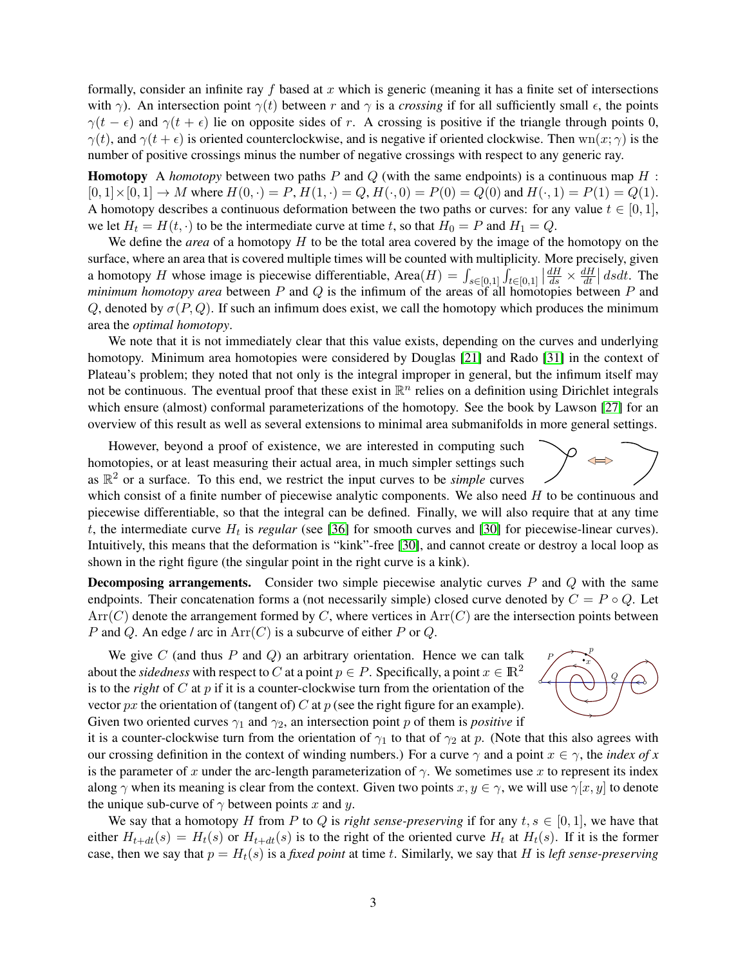formally, consider an infinite ray f based at x which is generic (meaning it has a finite set of intersections with  $\gamma$ ). An intersection point  $\gamma(t)$  between r and  $\gamma$  is a *crossing* if for all sufficiently small  $\epsilon$ , the points  $\gamma(t - \epsilon)$  and  $\gamma(t + \epsilon)$  lie on opposite sides of r. A crossing is positive if the triangle through points 0,  $\gamma(t)$ , and  $\gamma(t + \epsilon)$  is oriented counterclockwise, and is negative if oriented clockwise. Then wn $(x; \gamma)$  is the number of positive crossings minus the number of negative crossings with respect to any generic ray.

**Homotopy** A *homotopy* between two paths P and Q (with the same endpoints) is a continuous map H :  $[0, 1] \times [0, 1] \rightarrow M$  where  $H(0, \cdot) = P$ ,  $H(1, \cdot) = Q$ ,  $H(\cdot, 0) = P(0) = Q(0)$  and  $H(\cdot, 1) = P(1) = Q(1)$ . A homotopy describes a continuous deformation between the two paths or curves: for any value  $t \in [0, 1]$ , we let  $H_t = H(t, \cdot)$  to be the intermediate curve at time t, so that  $H_0 = P$  and  $H_1 = Q$ .

We define the *area* of a homotopy H to be the total area covered by the image of the homotopy on the surface, where an area that is covered multiple times will be counted with multiplicity. More precisely, given a homotopy H whose image is piecewise differentiable, Area $(H) = \int_{s \in [0,1]}$  $\overline{I}$  $t \in [0,1]$  $\left|\frac{dH}{ds}\right| \times \frac{dH}{dt}$  $\frac{dH}{dt}$  dsdt. The *minimum homotopy area* between  $P$  and  $Q$  is the infimum of the areas of all homotopies between  $P$  and Q, denoted by  $\sigma(P,Q)$ . If such an infimum does exist, we call the homotopy which produces the minimum area the *optimal homotopy*.

We note that it is not immediately clear that this value exists, depending on the curves and underlying homotopy. Minimum area homotopies were considered by Douglas [\[21\]](#page-12-11) and Rado [\[31\]](#page-12-12) in the context of Plateau's problem; they noted that not only is the integral improper in general, but the infimum itself may not be continuous. The eventual proof that these exist in  $\mathbb{R}^n$  relies on a definition using Dirichlet integrals which ensure (almost) conformal parameterizations of the homotopy. See the book by Lawson [\[27\]](#page-12-13) for an overview of this result as well as several extensions to minimal area submanifolds in more general settings.

However, beyond a proof of existence, we are interested in computing such homotopies, or at least measuring their actual area, in much simpler settings such as  $\mathbb{R}^2$  or a surface. To this end, we restrict the input curves to be *simple* curves

which consist of a finite number of piecewise analytic components. We also need  $H$  to be continuous and piecewise differentiable, so that the integral can be defined. Finally, we will also require that at any time  $t$ , the intermediate curve  $H_t$  is *regular* (see [\[36\]](#page-13-1) for smooth curves and [\[30\]](#page-12-14) for piecewise-linear curves). Intuitively, this means that the deformation is "kink"-free [\[30\]](#page-12-14), and cannot create or destroy a local loop as shown in the right figure (the singular point in the right curve is a kink).

**Decomposing arrangements.** Consider two simple piecewise analytic curves  $P$  and  $Q$  with the same endpoints. Their concatenation forms a (not necessarily simple) closed curve denoted by  $C = P \circ Q$ . Let  $Arr(C)$  denote the arrangement formed by C, where vertices in  $Arr(C)$  are the intersection points between P and Q. An edge / arc in  $Arr(C)$  is a subcurve of either P or Q.

We give C (and thus P and Q) an arbitrary orientation. Hence we can talk  $P \in \mathbb{R}^p$ about the *sidedness* with respect to C at a point  $p \in P$ . Specifically, a point  $x \in \mathbb{R}^2$ is to the *right* of C at  $p$  if it is a counter-clockwise turn from the orientation of the vector  $px$  the orientation of (tangent of) C at  $p$  (see the right figure for an example). Given two oriented curves  $\gamma_1$  and  $\gamma_2$ , an intersection point p of them is *positive* if



it is a counter-clockwise turn from the orientation of  $\gamma_1$  to that of  $\gamma_2$  at p. (Note that this also agrees with our crossing definition in the context of winding numbers.) For a curve  $\gamma$  and a point  $x \in \gamma$ , the *index of x* is the parameter of x under the arc-length parameterization of  $\gamma$ . We sometimes use x to represent its index along  $\gamma$  when its meaning is clear from the context. Given two points  $x, y \in \gamma$ , we will use  $\gamma[x, y]$  to denote the unique sub-curve of  $\gamma$  between points x and y.

We say that a homotopy H from P to Q is *right sense-preserving* if for any  $t, s \in [0, 1]$ , we have that either  $H_{t+dt}(s) = H_t(s)$  or  $H_{t+dt}(s)$  is to the right of the oriented curve  $H_t$  at  $H_t(s)$ . If it is the former case, then we say that  $p = H_t(s)$  is a *fixed point* at time t. Similarly, we say that H is *left sense-preserving* 

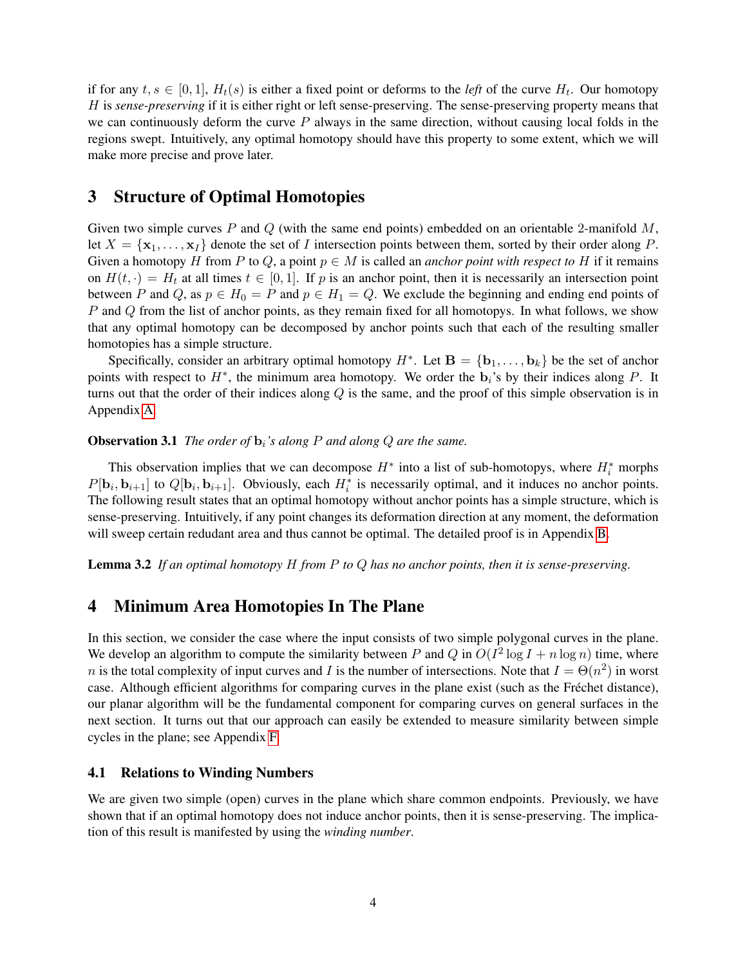if for any  $t, s \in [0, 1]$ ,  $H_t(s)$  is either a fixed point or deforms to the *left* of the curve  $H_t$ . Our homotopy H is *sense-preserving* if it is either right or left sense-preserving. The sense-preserving property means that we can continuously deform the curve  $P$  always in the same direction, without causing local folds in the regions swept. Intuitively, any optimal homotopy should have this property to some extent, which we will make more precise and prove later.

# <span id="page-4-1"></span>3 Structure of Optimal Homotopies

Given two simple curves P and Q (with the same end points) embedded on an orientable 2-manifold  $M$ , let  $X = \{x_1, \ldots, x_I\}$  denote the set of I intersection points between them, sorted by their order along P. Given a homotopy H from P to Q, a point  $p \in M$  is called an *anchor point with respect to* H if it remains on  $H(t, \cdot) = H_t$  at all times  $t \in [0, 1]$ . If p is an anchor point, then it is necessarily an intersection point between P and Q, as  $p \in H_0 = P$  and  $p \in H_1 = Q$ . We exclude the beginning and ending end points of P and Q from the list of anchor points, as they remain fixed for all homotopys. In what follows, we show that any optimal homotopy can be decomposed by anchor points such that each of the resulting smaller homotopies has a simple structure.

Specifically, consider an arbitrary optimal homotopy  $H^*$ . Let  $\mathbf{B} = \{\mathbf{b}_1, \dots, \mathbf{b}_k\}$  be the set of anchor points with respect to  $H^*$ , the minimum area homotopy. We order the  $\mathbf{b}_i$ 's by their indices along P. It turns out that the order of their indices along  $Q$  is the same, and the proof of this simple observation is in Appendix [A.](#page-14-0)

### <span id="page-4-2"></span>**Observation 3.1** *The order of*  $\mathbf{b}_i$ *'s along P and along Q are the same.*

This observation implies that we can decompose  $H^*$  into a list of sub-homotopys, where  $H_i^*$  morphs  $P[\mathbf{b}_i, \mathbf{b}_{i+1}]$  to  $Q[\mathbf{b}_i, \mathbf{b}_{i+1}]$ . Obviously, each  $H_i^*$  is necessarily optimal, and it induces no anchor points. The following result states that an optimal homotopy without anchor points has a simple structure, which is sense-preserving. Intuitively, if any point changes its deformation direction at any moment, the deformation will sweep certain redudant area and thus cannot be optimal. The detailed proof is in Appendix [B.](#page-14-1)

<span id="page-4-0"></span>Lemma 3.2 *If an optimal homotopy* H *from* P *to* Q *has no anchor points, then it is sense-preserving.*

# <span id="page-4-3"></span>4 Minimum Area Homotopies In The Plane

In this section, we consider the case where the input consists of two simple polygonal curves in the plane. We develop an algorithm to compute the similarity between P and Q in  $O(I^2 \log I + n \log n)$  time, where n is the total complexity of input curves and I is the number of intersections. Note that  $I = \Theta(n^2)$  in worst case. Although efficient algorithms for comparing curves in the plane exist (such as the Frechet distance), ´ our planar algorithm will be the fundamental component for comparing curves on general surfaces in the next section. It turns out that our approach can easily be extended to measure similarity between simple cycles in the plane; see Appendix [F.](#page-17-0)

### 4.1 Relations to Winding Numbers

We are given two simple (open) curves in the plane which share common endpoints. Previously, we have shown that if an optimal homotopy does not induce anchor points, then it is sense-preserving. The implication of this result is manifested by using the *winding number*.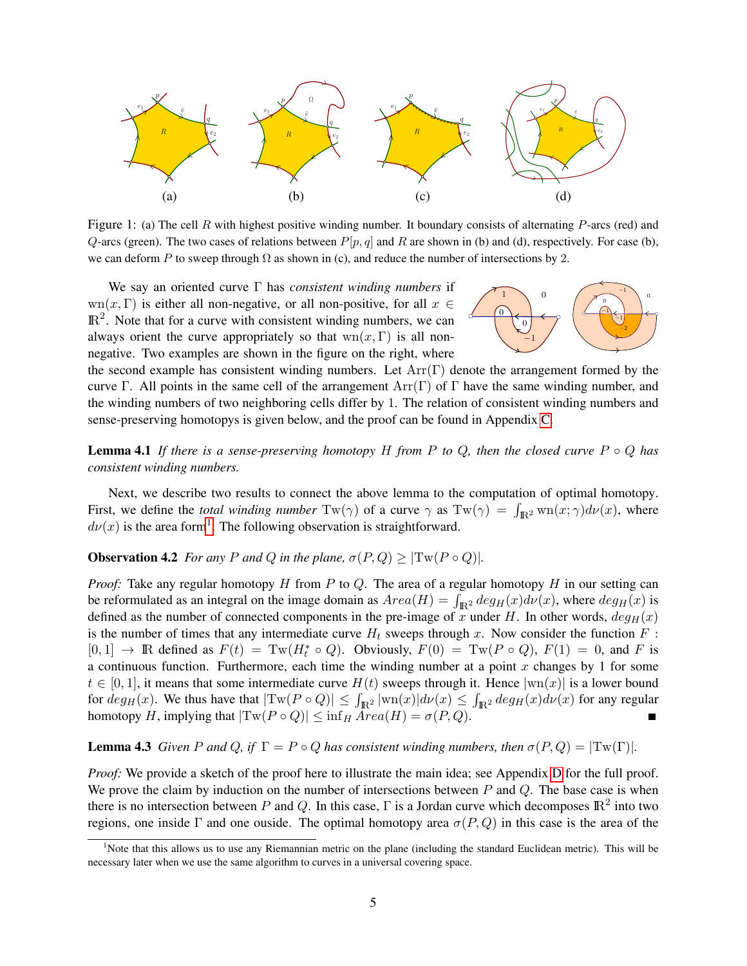

<span id="page-5-1"></span>Figure 1: (a) The cell R with highest positive winding number. It boundary consists of alternating  $P$ -arcs (red) and Q-arcs (green). The two cases of relations between  $P[p, q]$  and R are shown in (b) and (d), respectively. For case (b), we can deform P to sweep through  $\Omega$  as shown in (c), and reduce the number of intersections by 2.

We say an oriented curve Γ has *consistent winding numbers* if  $wn(x, \Gamma)$  is either all non-negative, or all non-positive, for all  $x \in$  $\mathbb{R}^2$ . Note that for a curve with consistent winding numbers, we can always orient the curve appropriately so that  $wn(x, \Gamma)$  is all nonnegative. Two examples are shown in the figure on the right, where

<span id="page-5-4"></span><span id="page-5-3"></span>

the second example has consistent winding numbers. Let  $Arr(\Gamma)$  denote the arrangement formed by the curve Γ. All points in the same cell of the arrangement  $Arr(\Gamma)$  of Γ have the same winding number, and the winding numbers of two neighboring cells differ by 1. The relation of consistent winding numbers and sense-preserving homotopys is given below, and the proof can be found in Appendix [C.](#page-15-0)

**Lemma 4.1** If there is a sense-preserving homotopy H from P to Q, then the closed curve  $P \circ Q$  has *consistent winding numbers.*

Next, we describe two results to connect the above lemma to the computation of optimal homotopy. First, we define the *total winding number*  $Tw(\gamma)$  of a curve  $\gamma$  as  $Tw(\gamma) = \int_{\mathbb{R}^2} wn(x;\gamma) d\nu(x)$ , where  $d\nu(x)$  is the area form<sup>[1](#page-5-0)</sup>. The following observation is straightforward.

<span id="page-5-2"></span>**Observation 4.2** *For any P and Q in the plane,*  $\sigma(P,Q) \geq |\text{Tw}(P \circ Q)|$ *.* 

*Proof:* Take any regular homotopy H from P to Q. The area of a regular homotopy H in our setting can be reformulated as an integral on the image domain as  $Area(H) = \int_{\mathbb{R}^2} deg_H(x) d\nu(x)$ , where  $deg_H(x)$  is defined as the number of connected components in the pre-image of x under H. In other words,  $deg_H(x)$ is the number of times that any intermediate curve  $H_t$  sweeps through x. Now consider the function  $F$ :  $[0,1] \rightarrow \mathbb{R}$  defined as  $F(t) = \text{Tw}(H_t^* \circ Q)$ . Obviously,  $F(0) = \text{Tw}(P \circ Q)$ ,  $F(1) = 0$ , and F is a continuous function. Furthermore, each time the winding number at a point  $x$  changes by 1 for some  $t \in [0, 1]$ , it means that some intermediate curve  $H(t)$  sweeps through it. Hence  $|wn(x)|$  is a lower bound for  $deg_H(x)$ . We thus have that  $|\text{Tw}(P \circ Q)| \leq \int_{\mathbb{R}^2} |\text{wn}(x)| d\nu(x) \leq \int_{\mathbb{R}^2} deg_H(x) d\nu(x)$  for any regular homotopy H, implying that  $|\text{Tw}(P \circ Q)| \leq \inf_H Area(H) = \sigma(P, Q)$ .

### **Lemma 4.3** *Given* P and Q, if  $\Gamma = P \circ Q$  has consistent winding numbers, then  $\sigma(P, Q) = |\text{Tw}(\Gamma)|$ .

*Proof:* We provide a sketch of the proof here to illustrate the main idea; see Appendix [D](#page-15-1) for the full proof. We prove the claim by induction on the number of intersections between  $P$  and  $Q$ . The base case is when there is no intersection between P and Q. In this case,  $\Gamma$  is a Jordan curve which decomposes  $\mathbb{R}^2$  into two regions, one inside Γ and one ouside. The optimal homotopy area  $\sigma(P,Q)$  in this case is the area of the

<span id="page-5-0"></span><sup>1</sup>Note that this allows us to use any Riemannian metric on the plane (including the standard Euclidean metric). This will be necessary later when we use the same algorithm to curves in a universal covering space.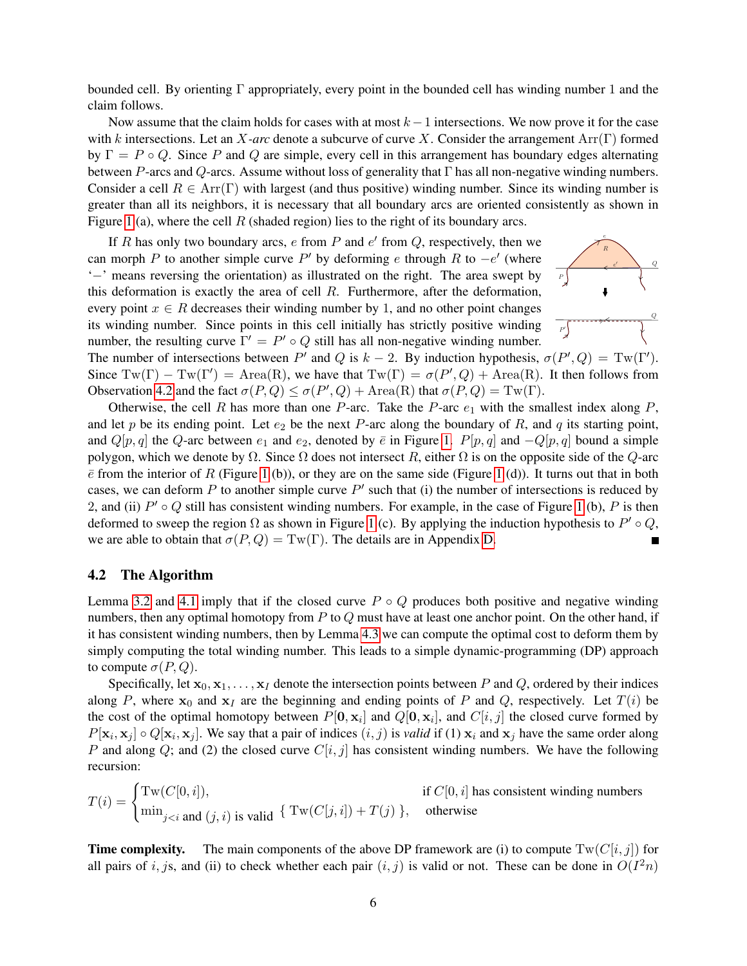bounded cell. By orienting Γ appropriately, every point in the bounded cell has winding number 1 and the claim follows.

Now assume that the claim holds for cases with at most  $k - 1$  intersections. We now prove it for the case with k intersections. Let an X*-arc* denote a subcurve of curve X. Consider the arrangement Arr(Γ) formed by  $\Gamma = P \circ Q$ . Since P and Q are simple, every cell in this arrangement has boundary edges alternating between P-arcs and Q-arcs. Assume without loss of generality that  $\Gamma$  has all non-negative winding numbers. Consider a cell  $R \in \text{Arr}(\Gamma)$  with largest (and thus positive) winding number. Since its winding number is greater than all its neighbors, it is necessary that all boundary arcs are oriented consistently as shown in Figure [1](#page-5-1) (a), where the cell  $R$  (shaded region) lies to the right of its boundary arcs.

If R has only two boundary arcs,  $e$  from  $P$  and  $e'$  from  $Q$ , respectively, then we can morph P to another simple curve P' by deforming e through R to  $-e'$  (where '−' means reversing the orientation) as illustrated on the right. The area swept by this deformation is exactly the area of cell  $R$ . Furthermore, after the deformation, every point  $x \in R$  decreases their winding number by 1, and no other point changes its winding number. Since points in this cell initially has strictly positive winding number, the resulting curve  $\Gamma' = P' \circ Q$  still has all non-negative winding number.



The number of intersections between  $P'$  and Q is  $k - 2$ . By induction hypothesis,  $\sigma(P', Q) = Tw(\Gamma')$ . Since  $Tw(\Gamma) - Tw(\Gamma') = Area(R)$ , we have that  $Tw(\Gamma) = \sigma(P', Q) + Area(R)$ . It then follows from Observation [4.2](#page-5-2) and the fact  $\sigma(P,Q) \leq \sigma(P',Q) + \text{Area}(R)$  that  $\sigma(P,Q) = \text{Tw}(\Gamma)$ .

Otherwise, the cell R has more than one P-arc. Take the P-arc  $e_1$  with the smallest index along P, and let p be its ending point. Let  $e_2$  be the next P-arc along the boundary of R, and q its starting point, and  $Q[p, q]$  the  $Q$ -arc between  $e_1$  and  $e_2$ , denoted by  $\bar{e}$  in Figure [1.](#page-5-1)  $P[p, q]$  and  $-Q[p, q]$  bound a simple polygon, which we denote by  $\Omega$ . Since  $\Omega$  does not intersect R, either  $\Omega$  is on the opposite side of the Q-arc  $\bar{e}$  from the interior of R (Figure [1](#page-5-1) (b)), or they are on the same side (Figure 1 (d)). It turns out that in both cases, we can deform P to another simple curve  $P'$  such that (i) the number of intersections is reduced by 2, and (ii)  $P' \circ Q$  still has consistent winding numbers. For example, in the case of Figure [1](#page-5-1) (b), P is then deformed to sweep the region  $\Omega$  as shown in Figure [1](#page-5-1) (c). By applying the induction hypothesis to  $P' \circ Q$ , we are able to obtain that  $\sigma(P,Q) = Tw(\Gamma)$ . The details are in Appendix [D.](#page-15-1) П

#### <span id="page-6-0"></span>4.2 The Algorithm

Lemma [3.2](#page-4-0) and [4.1](#page-5-3) imply that if the closed curve  $P \circ Q$  produces both positive and negative winding numbers, then any optimal homotopy from  $P$  to  $Q$  must have at least one anchor point. On the other hand, if it has consistent winding numbers, then by Lemma [4.3](#page-5-4) we can compute the optimal cost to deform them by simply computing the total winding number. This leads to a simple dynamic-programming (DP) approach to compute  $\sigma(P,Q)$ .

Specifically, let  $x_0, x_1, \ldots, x_l$  denote the intersection points between P and Q, ordered by their indices along P, where  $x_0$  and  $x_1$  are the beginning and ending points of P and Q, respectively. Let  $T(i)$  be the cost of the optimal homotopy between  $P[\mathbf{0}, \mathbf{x}_i]$  and  $Q[\mathbf{0}, \mathbf{x}_i]$ , and  $C[i, j]$  the closed curve formed by  $P[\mathbf{x}_i, \mathbf{x}_j] \circ Q[\mathbf{x}_i, \mathbf{x}_j]$ . We say that a pair of indices  $(i, j)$  is *valid* if (1)  $\mathbf{x}_i$  and  $\mathbf{x}_j$  have the same order along P and along Q; and (2) the closed curve  $C[i, j]$  has consistent winding numbers. We have the following recursion:

$$
T(i) = \begin{cases} \operatorname{Tw}(C[0,i]), & \text{if } C[0,i] \text{ has consistent winding numbers} \\ \min_{j < i \text{ and } (j,i) \text{ is valid}} \{ \operatorname{Tw}(C[j,i]) + T(j) \}, & \text{otherwise} \end{cases}
$$

**Time complexity.** The main components of the above DP framework are (i) to compute  $Tw(C[i, j])$  for all pairs of i, js, and (ii) to check whether each pair  $(i, j)$  is valid or not. These can be done in  $O(I^2n)$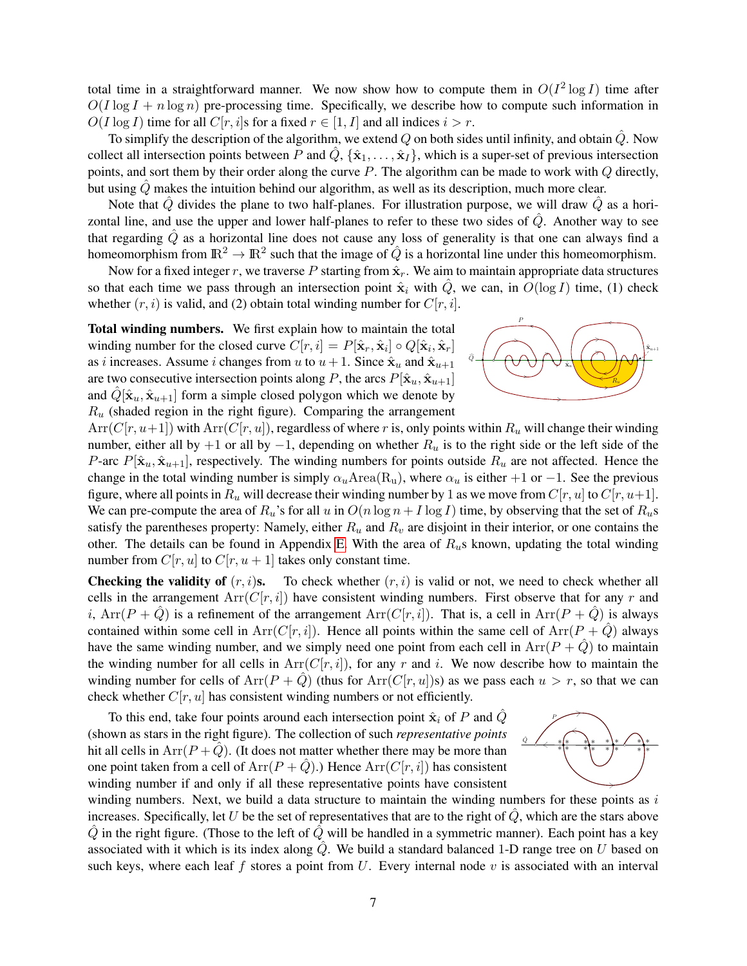total time in a straightforward manner. We now show how to compute them in  $O(I^2 \log I)$  time after  $O(I \log I + n \log n)$  pre-processing time. Specifically, we describe how to compute such information in  $O(I \log I)$  time for all  $C[r, i]$ s for a fixed  $r \in [1, I]$  and all indices  $i > r$ .

To simplify the description of the algorithm, we extend Q on both sides until infinity, and obtain  $\ddot{Q}$ . Now collect all intersection points between P and  $\hat{Q}$ ,  $\{\hat{\mathbf{x}}_1, \dots, \hat{\mathbf{x}}_I\}$ , which is a super-set of previous intersection points, and sort them by their order along the curve  $P$ . The algorithm can be made to work with  $Q$  directly, but using  $\hat{Q}$  makes the intuition behind our algorithm, as well as its description, much more clear.

Note that  $\hat{Q}$  divides the plane to two half-planes. For illustration purpose, we will draw  $\hat{Q}$  as a horizontal line, and use the upper and lower half-planes to refer to these two sides of  $\hat{Q}$ . Another way to see that regarding  $\hat{Q}$  as a horizontal line does not cause any loss of generality is that one can always find a homeomorphism from  $\mathbb{R}^2 \to \mathbb{R}^2$  such that the image of  $\hat{Q}$  is a horizontal line under this homeomorphism.

Now for a fixed integer r, we traverse P starting from  $\hat{\mathbf{x}}_r$ . We aim to maintain appropriate data structures so that each time we pass through an intersection point  $\hat{\mathbf{x}}_i$  with  $\hat{Q}$ , we can, in  $O(\log I)$  time, (1) check whether  $(r, i)$  is valid, and (2) obtain total winding number for  $C[r, i]$ .

Total winding numbers. We first explain how to maintain the total winding number for the closed curve  $C[r, i] = P[\hat{\mathbf{x}}_r, \hat{\mathbf{x}}_i] \circ Q[\hat{\mathbf{x}}_i, \hat{\mathbf{x}}_r]$ as *i* increases. Assume *i* changes from *u* to  $u + 1$ . Since  $\hat{x}_u$  and  $\hat{x}_{u+1}$ are two consecutive intersection points along P, the arcs  $P[\hat{\mathbf{x}}_u, \hat{\mathbf{x}}_{u+1}]$ and  $\hat{Q}[\hat{\mathbf{x}}_u, \hat{\mathbf{x}}_{u+1}]$  form a simple closed polygon which we denote by  $R_u$  (shaded region in the right figure). Comparing the arrangement



 $Arr(C[r, u+1])$  with  $Arr(C[r, u])$ , regardless of where r is, only points within  $R_u$  will change their winding number, either all by +1 or all by −1, depending on whether  $R_u$  is to the right side or the left side of the P-arc  $P[\hat{\mathbf{x}}_u, \hat{\mathbf{x}}_{u+1}]$ , respectively. The winding numbers for points outside  $R_u$  are not affected. Hence the change in the total winding number is simply  $\alpha_u$ Area(R<sub>u</sub>), where  $\alpha_u$  is either +1 or −1. See the previous figure, where all points in  $R_u$  will decrease their winding number by 1 as we move from  $C[r, u]$  to  $C[r, u+1]$ . We can pre-compute the area of  $R_u$ 's for all u in  $O(n \log n + I \log I)$  time, by observing that the set of  $R_u$ s satisfy the parentheses property: Namely, either  $R_u$  and  $R_v$  are disjoint in their interior, or one contains the other. The details can be found in Appendix [E.](#page-17-1) With the area of  $R_u$ s known, updating the total winding number from  $C[r, u]$  to  $C[r, u + 1]$  takes only constant time.

**Checking the validity of**  $(r, i)$ s. To check whether  $(r, i)$  is valid or not, we need to check whether all cells in the arrangement  $Arr(C[r, i])$  have consistent winding numbers. First observe that for any r and i, Arr $(P + \hat{Q})$  is a refinement of the arrangement Arr $(C[r, i])$ . That is, a cell in Arr $(P + \hat{Q})$  is always contained within some cell in Arr( $C[r, i]$ ). Hence all points within the same cell of Arr( $P + \hat{Q}$ ) always have the same winding number, and we simply need one point from each cell in  $Arr(P + \hat{Q})$  to maintain the winding number for all cells in  $Arr(C[r, i])$ , for any r and i. We now describe how to maintain the winding number for cells of  $Arr(P + \hat{Q})$  (thus for  $Arr(C[r, u])$ s) as we pass each  $u > r$ , so that we can check whether  $C[r, u]$  has consistent winding numbers or not efficiently.

To this end, take four points around each intersection point  $\hat{\mathbf{x}}_i$  of P and  $\hat{Q}$ (shown as stars in the right figure). The collection of such *representative points* hit all cells in  $Arr(P + \tilde{Q})$ . (It does not matter whether there may be more than one point taken from a cell of  $Arr(P + Q)$ .) Hence  $Arr(C[r, i])$  has consistent winding number if and only if all these representative points have consistent



winding numbers. Next, we build a data structure to maintain the winding numbers for these points as  $i$ increases. Specifically, let U be the set of representatives that are to the right of  $\dot{Q}$ , which are the stars above  $\ddot{Q}$  in the right figure. (Those to the left of  $\ddot{Q}$  will be handled in a symmetric manner). Each point has a key associated with it which is its index along  $\hat{Q}$ . We build a standard balanced 1-D range tree on U based on such keys, where each leaf f stores a point from U. Every internal node v is associated with an interval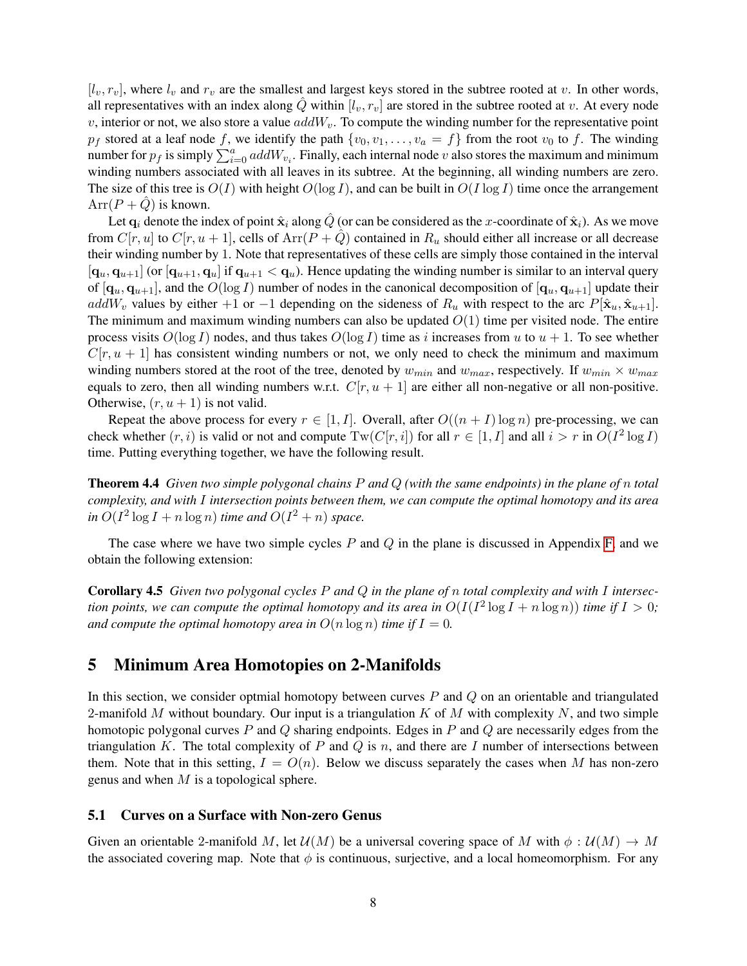$[l_v, r_v]$ , where  $l_v$  and  $r_v$  are the smallest and largest keys stored in the subtree rooted at v. In other words, all representatives with an index along Q within  $[l_v, r_v]$  are stored in the subtree rooted at v. At every node v, interior or not, we also store a value  $addW_v$ . To compute the winding number for the representative point  $p_f$  stored at a leaf node f, we identify the path  $\{v_0, v_1, \ldots, v_a = f\}$  from the root  $v_0$  to f. The winding number for  $p_f$  is simply  $\sum_{i=0}^a addW_{v_i}$ . Finally, each internal node v also stores the maximum and minimum winding numbers associated with all leaves in its subtree. At the beginning, all winding numbers are zero. The size of this tree is  $O(I)$  with height  $O(\log I)$ , and can be built in  $O(I \log I)$  time once the arrangement  $Arr(P + Q)$  is known.

Let  $\mathbf{q}_i$  denote the index of point  $\hat{\mathbf{x}}_i$  along  $\hat{Q}$  (or can be considered as the x-coordinate of  $\hat{\mathbf{x}}_i$ ). As we move from  $C[r, u]$  to  $C[r, u + 1]$ , cells of  $Arr(P + Q)$  contained in  $R_u$  should either all increase or all decrease their winding number by 1. Note that representatives of these cells are simply those contained in the interval  $[q_u, q_{u+1}]$  (or  $[q_{u+1}, q_u]$  if  $q_{u+1} < q_u$ ). Hence updating the winding number is similar to an interval query of  $[q_u, q_{u+1}]$ , and the  $O(\log I)$  number of nodes in the canonical decomposition of  $[q_u, q_{u+1}]$  update their addW<sub>v</sub> values by either +1 or −1 depending on the sideness of  $R_u$  with respect to the arc  $P[\hat{\mathbf{x}}_u, \hat{\mathbf{x}}_{u+1}]$ . The minimum and maximum winding numbers can also be updated  $O(1)$  time per visited node. The entire process visits  $O(\log I)$  nodes, and thus takes  $O(\log I)$  time as i increases from u to  $u + 1$ . To see whether  $C[r, u + 1]$  has consistent winding numbers or not, we only need to check the minimum and maximum winding numbers stored at the root of the tree, denoted by  $w_{min}$  and  $w_{max}$ , respectively. If  $w_{min} \times w_{max}$ equals to zero, then all winding numbers w.r.t.  $C[r, u + 1]$  are either all non-negative or all non-positive. Otherwise,  $(r, u + 1)$  is not valid.

Repeat the above process for every  $r \in [1, I]$ . Overall, after  $O((n + I) \log n)$  pre-processing, we can check whether  $(r, i)$  is valid or not and compute  $Tw(C[r, i])$  for all  $r \in [1, I]$  and all  $i > r$  in  $O(I^2 \log I)$ time. Putting everything together, we have the following result.

<span id="page-8-0"></span>Theorem 4.4 *Given two simple polygonal chains* P *and* Q *(with the same endpoints) in the plane of* n *total complexity, and with* I *intersection points between them, we can compute the optimal homotopy and its area in*  $O(I^2 \log I + n \log n)$  *time and*  $O(I^2 + n)$  *space.* 

The case where we have two simple cycles  $P$  and  $Q$  in the plane is discussed in Appendix [F,](#page-17-0) and we obtain the following extension:

Corollary 4.5 *Given two polygonal cycles* P *and* Q *in the plane of* n *total complexity and with* I *intersection points, we can compute the optimal homotopy and its area in*  $O(I(I^2 \log I + n \log n))$  *time if*  $I > 0$ *; and compute the optimal homotopy area in*  $O(n \log n)$  *time if*  $I = 0$ *.* 

### 5 Minimum Area Homotopies on 2-Manifolds

In this section, we consider optmial homotopy between curves  $P$  and  $Q$  on an orientable and triangulated 2-manifold M without boundary. Our input is a triangulation  $K$  of M with complexity N, and two simple homotopic polygonal curves  $P$  and  $Q$  sharing endpoints. Edges in  $P$  and  $Q$  are necessarily edges from the triangulation K. The total complexity of P and Q is n, and there are I number of intersections between them. Note that in this setting,  $I = O(n)$ . Below we discuss separately the cases when M has non-zero genus and when  $M$  is a topological sphere.

#### 5.1 Curves on a Surface with Non-zero Genus

Given an orientable 2-manifold M, let  $\mathcal{U}(M)$  be a universal covering space of M with  $\phi : \mathcal{U}(M) \to M$ the associated covering map. Note that  $\phi$  is continuous, surjective, and a local homeomorphism. For any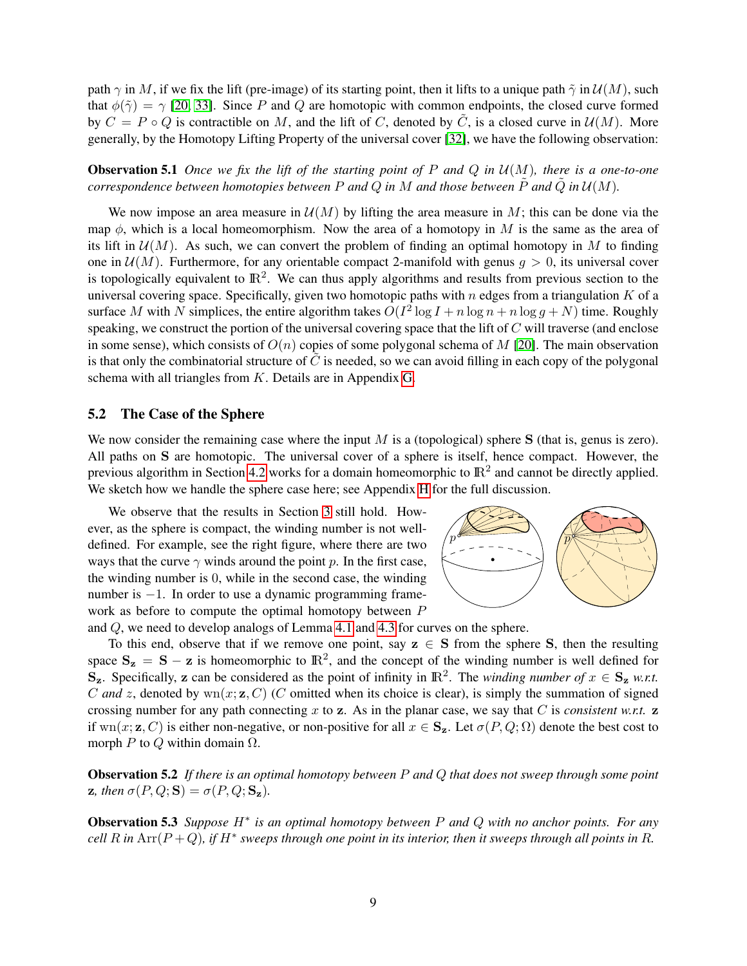path  $\gamma$  in M, if we fix the lift (pre-image) of its starting point, then it lifts to a unique path  $\tilde{\gamma}$  in  $\mathcal{U}(M)$ , such that  $\phi(\tilde{\gamma}) = \gamma$  [\[20,](#page-12-15) [33\]](#page-12-16). Since P and Q are homotopic with common endpoints, the closed curve formed by  $C = P \circ Q$  is contractible on M, and the lift of C, denoted by  $\tilde{C}$ , is a closed curve in  $\mathcal{U}(M)$ . More generally, by the Homotopy Lifting Property of the universal cover [\[32\]](#page-12-17), we have the following observation:

<span id="page-9-2"></span>Observation 5.1 *Once we fix the lift of the starting point of* P *and* Q *in* U(M)*, there is a one-to-one correspondence between homotopies between* P and Q in M and those between  $\tilde{P}$  and  $\tilde{Q}$  in  $\mathcal{U}(M)$ .

We now impose an area measure in  $\mathcal{U}(M)$  by lifting the area measure in M; this can be done via the map  $\phi$ , which is a local homeomorphism. Now the area of a homotopy in M is the same as the area of its lift in  $\mathcal{U}(M)$ . As such, we can convert the problem of finding an optimal homotopy in M to finding one in  $U(M)$ . Furthermore, for any orientable compact 2-manifold with genus  $q > 0$ , its universal cover is topologically equivalent to  $\mathbb{R}^2$ . We can thus apply algorithms and results from previous section to the universal covering space. Specifically, given two homotopic paths with  $n$  edges from a triangulation  $K$  of a surface M with N simplices, the entire algorithm takes  $O(I^2 \log I + n \log n + n \log g + N)$  time. Roughly speaking, we construct the portion of the universal covering space that the lift of C will traverse (and enclose in some sense), which consists of  $O(n)$  copies of some polygonal schema of M [\[20\]](#page-12-15). The main observation is that only the combinatorial structure of  $C$  is needed, so we can avoid filling in each copy of the polygonal schema with all triangles from K. Details are in Appendix [G.](#page-18-0)

#### 5.2 The Case of the Sphere

We now consider the remaining case where the input  $M$  is a (topological) sphere  $S$  (that is, genus is zero). All paths on S are homotopic. The universal cover of a sphere is itself, hence compact. However, the previous algorithm in Section [4.2](#page-6-0) works for a domain homeomorphic to  $\mathbb{R}^2$  and cannot be directly applied. We sketch how we handle the sphere case here; see Appendix [H](#page-21-0) for the full discussion.

We observe that the results in Section [3](#page-4-1) still hold. However, as the sphere is compact, the winding number is not welldefined. For example, see the right figure, where there are two ways that the curve  $\gamma$  winds around the point p. In the first case, the winding number is 0, while in the second case, the winding number is −1. In order to use a dynamic programming framework as before to compute the optimal homotopy between P



and Q, we need to develop analogs of Lemma [4.1](#page-5-3) and [4.3](#page-5-4) for curves on the sphere.

To this end, observe that if we remove one point, say  $z \in S$  from the sphere S, then the resulting space  $S_z = S - z$  is homeomorphic to  $\mathbb{R}^2$ , and the concept of the winding number is well defined for  $S_z$ . Specifically, z can be considered as the point of infinity in  $\mathbb{R}^2$ . The *winding number of*  $x \in S_z$  *w.r.t.* C and z, denoted by  $\text{wn}(x; \mathbf{z}, C)$  (C omitted when its choice is clear), is simply the summation of signed crossing number for any path connecting x to z. As in the planar case, we say that  $C$  is *consistent w.r.t.* z if wn(x; z, C) is either non-negative, or non-positive for all  $x \in S_z$ . Let  $\sigma(P,Q;\Omega)$  denote the best cost to morph P to Q within domain  $\Omega$ .

<span id="page-9-0"></span>Observation 5.2 *If there is an optimal homotopy between* P *and* Q *that does not sweep through some point* z, then  $\sigma(P,Q;S) = \sigma(P,Q;S_z)$ .

<span id="page-9-1"></span>Observation 5.3 *Suppose* H∗ *is an optimal homotopy between* P *and* Q *with no anchor points. For any*  $cell$   $R$  in  $Arr(P+Q)$ , if  $H^*$  sweeps through one point in its interior, then it sweeps through all points in  $R$ .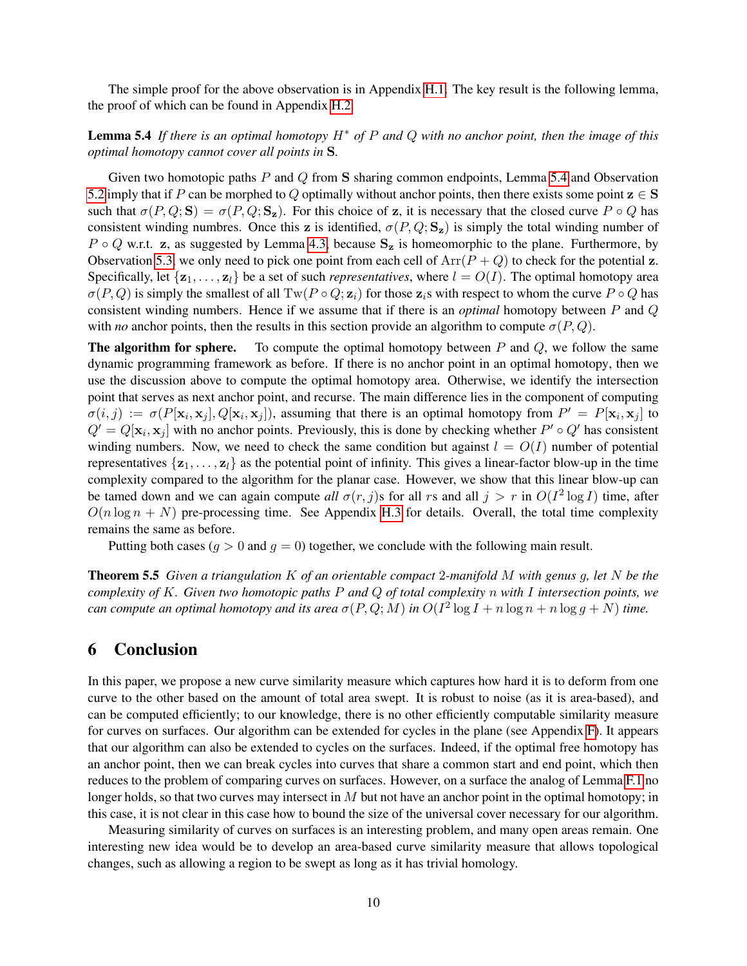<span id="page-10-0"></span>The simple proof for the above observation is in Appendix [H.1.](#page-21-1) The key result is the following lemma, the proof of which can be found in Appendix [H.2.](#page-21-2)

### Lemma 5.4 *If there is an optimal homotopy* H∗ *of* P *and* Q *with no anchor point, then the image of this optimal homotopy cannot cover all points in* S*.*

Given two homotopic paths P and Q from S sharing common endpoints, Lemma [5.4](#page-10-0) and Observation [5.2](#page-9-0) imply that if P can be morphed to Q optimally without anchor points, then there exists some point  $z \in S$ such that  $\sigma(P,Q;S) = \sigma(P,Q;S_z)$ . For this choice of z, it is necessary that the closed curve  $P \circ Q$  has consistent winding numbres. Once this z is identified,  $\sigma(P, Q; S_z)$  is simply the total winding number of  $P \circ Q$  w.r.t. z, as suggested by Lemma [4.3,](#page-5-4) because  $S_z$  is homeomorphic to the plane. Furthermore, by Observation [5.3,](#page-9-1) we only need to pick one point from each cell of  $Arr(P + Q)$  to check for the potential z. Specifically, let  $\{z_1, \ldots, z_l\}$  be a set of such *representatives*, where  $l = O(l)$ . The optimal homotopy area  $\sigma(P,Q)$  is simply the smallest of all  $Tw(P \circ Q; \mathbf{z}_i)$  for those  $\mathbf{z}_i$ s with respect to whom the curve  $P \circ Q$  has consistent winding numbers. Hence if we assume that if there is an *optimal* homotopy between P and Q with *no* anchor points, then the results in this section provide an algorithm to compute  $\sigma(P,Q)$ .

**The algorithm for sphere.** To compute the optimal homotopy between  $P$  and  $Q$ , we follow the same dynamic programming framework as before. If there is no anchor point in an optimal homotopy, then we use the discussion above to compute the optimal homotopy area. Otherwise, we identify the intersection point that serves as next anchor point, and recurse. The main difference lies in the component of computing  $\sigma(i,j) := \sigma(P[\mathbf{x}_i, \mathbf{x}_j], Q[\mathbf{x}_i, \mathbf{x}_j])$ , assuming that there is an optimal homotopy from  $P' = P[\mathbf{x}_i, \mathbf{x}_j]$  to  $Q' = Q[\mathbf{x}_i, \mathbf{x}_j]$  with no anchor points. Previously, this is done by checking whether  $P' \circ Q'$  has consistent winding numbers. Now, we need to check the same condition but against  $l = O(I)$  number of potential representatives  $\{z_1, \ldots, z_l\}$  as the potential point of infinity. This gives a linear-factor blow-up in the time complexity compared to the algorithm for the planar case. However, we show that this linear blow-up can be tamed down and we can again compute all  $\sigma(r, j)$ s for all rs and all  $j > r$  in  $O(I^2 \log I)$  time, after  $O(n \log n + N)$  pre-processing time. See Appendix [H.3](#page-22-0) for details. Overall, the total time complexity remains the same as before.

Putting both cases ( $q > 0$  and  $q = 0$ ) together, we conclude with the following main result.

Theorem 5.5 *Given a triangulation* K *of an orientable compact* 2*-manifold* M *with genus* g*, let* N *be the complexity of* K*. Given two homotopic paths* P *and* Q *of total complexity* n *with* I *intersection points, we can compute an optimal homotopy and its area*  $\sigma(P,Q;M)$  *in*  $O(I^2 \log I + n \log n + n \log g + N)$  *time.* 

### 6 Conclusion

In this paper, we propose a new curve similarity measure which captures how hard it is to deform from one curve to the other based on the amount of total area swept. It is robust to noise (as it is area-based), and can be computed efficiently; to our knowledge, there is no other efficiently computable similarity measure for curves on surfaces. Our algorithm can be extended for cycles in the plane (see Appendix [F\)](#page-17-0). It appears that our algorithm can also be extended to cycles on the surfaces. Indeed, if the optimal free homotopy has an anchor point, then we can break cycles into curves that share a common start and end point, which then reduces to the problem of comparing curves on surfaces. However, on a surface the analog of Lemma [F.1](#page-17-2) no longer holds, so that two curves may intersect in  $M$  but not have an anchor point in the optimal homotopy; in this case, it is not clear in this case how to bound the size of the universal cover necessary for our algorithm.

Measuring similarity of curves on surfaces is an interesting problem, and many open areas remain. One interesting new idea would be to develop an area-based curve similarity measure that allows topological changes, such as allowing a region to be swept as long as it has trivial homology.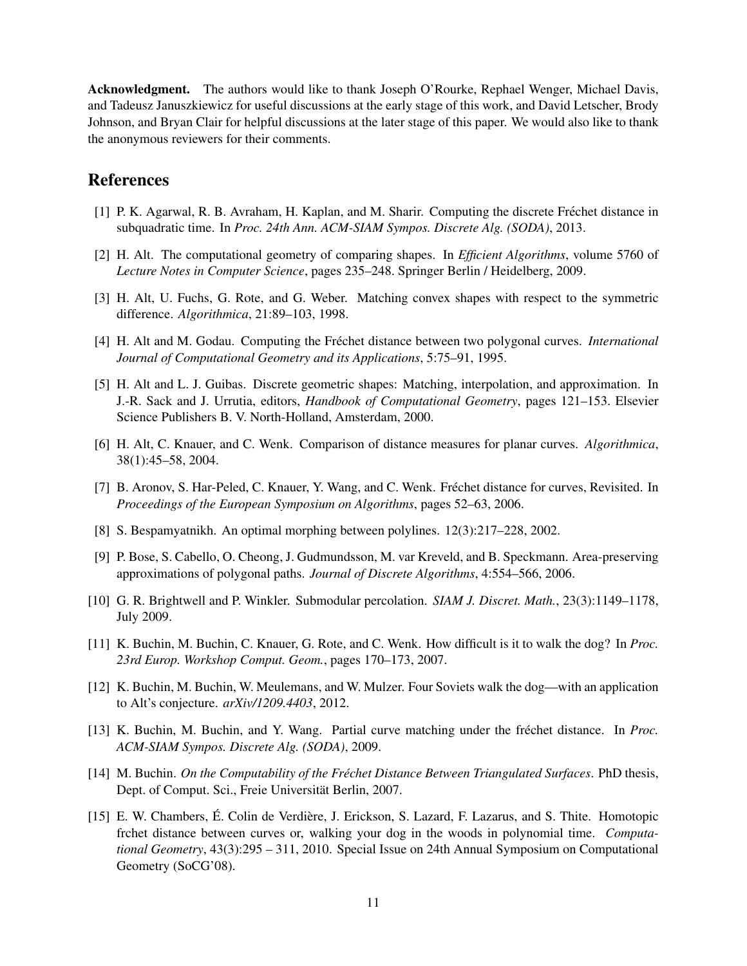Acknowledgment. The authors would like to thank Joseph O'Rourke, Rephael Wenger, Michael Davis, and Tadeusz Januszkiewicz for useful discussions at the early stage of this work, and David Letscher, Brody Johnson, and Bryan Clair for helpful discussions at the later stage of this paper. We would also like to thank the anonymous reviewers for their comments.

# References

- <span id="page-11-6"></span>[1] P. K. Agarwal, R. B. Avraham, H. Kaplan, and M. Sharir. Computing the discrete Frechet distance in ´ subquadratic time. In *Proc. 24th Ann. ACM-SIAM Sympos. Discrete Alg. (SODA)*, 2013.
- <span id="page-11-4"></span>[2] H. Alt. The computational geometry of comparing shapes. In *Efficient Algorithms*, volume 5760 of *Lecture Notes in Computer Science*, pages 235–248. Springer Berlin / Heidelberg, 2009.
- <span id="page-11-13"></span>[3] H. Alt, U. Fuchs, G. Rote, and G. Weber. Matching convex shapes with respect to the symmetric difference. *Algorithmica*, 21:89–103, 1998.
- <span id="page-11-2"></span>[4] H. Alt and M. Godau. Computing the Fréchet distance between two polygonal curves. *International Journal of Computational Geometry and its Applications*, 5:75–91, 1995.
- <span id="page-11-0"></span>[5] H. Alt and L. J. Guibas. Discrete geometric shapes: Matching, interpolation, and approximation. In J.-R. Sack and J. Urrutia, editors, *Handbook of Computational Geometry*, pages 121–153. Elsevier Science Publishers B. V. North-Holland, Amsterdam, 2000.
- <span id="page-11-1"></span>[6] H. Alt, C. Knauer, and C. Wenk. Comparison of distance measures for planar curves. *Algorithmica*, 38(1):45–58, 2004.
- <span id="page-11-7"></span>[7] B. Aronov, S. Har-Peled, C. Knauer, Y. Wang, and C. Wenk. Fréchet distance for curves, Revisited. In *Proceedings of the European Symposium on Algorithms*, pages 52–63, 2006.
- <span id="page-11-10"></span>[8] S. Bespamyatnikh. An optimal morphing between polylines. 12(3):217–228, 2002.
- <span id="page-11-14"></span>[9] P. Bose, S. Cabello, O. Cheong, J. Gudmundsson, M. var Kreveld, and B. Speckmann. Area-preserving approximations of polygonal paths. *Journal of Discrete Algorithms*, 4:554–566, 2006.
- <span id="page-11-12"></span>[10] G. R. Brightwell and P. Winkler. Submodular percolation. *SIAM J. Discret. Math.*, 23(3):1149–1178, July 2009.
- <span id="page-11-3"></span>[11] K. Buchin, M. Buchin, C. Knauer, G. Rote, and C. Wenk. How difficult is it to walk the dog? In *Proc. 23rd Europ. Workshop Comput. Geom.*, pages 170–173, 2007.
- <span id="page-11-5"></span>[12] K. Buchin, M. Buchin, W. Meulemans, and W. Mulzer. Four Soviets walk the dog—with an application to Alt's conjecture. *arXiv/1209.4403*, 2012.
- <span id="page-11-8"></span>[13] K. Buchin, M. Buchin, and Y. Wang. Partial curve matching under the frechet distance. In ´ *Proc. ACM-SIAM Sympos. Discrete Alg. (SODA)*, 2009.
- <span id="page-11-9"></span>[14] M. Buchin. *On the Computability of the Frechet Distance Between Triangulated Surfaces ´* . PhD thesis, Dept. of Comput. Sci., Freie Universität Berlin, 2007.
- <span id="page-11-11"></span>[15] E. W. Chambers, É. Colin de Verdière, J. Erickson, S. Lazard, F. Lazarus, and S. Thite. Homotopic frchet distance between curves or, walking your dog in the woods in polynomial time. *Computational Geometry*, 43(3):295 – 311, 2010. Special Issue on 24th Annual Symposium on Computational Geometry (SoCG'08).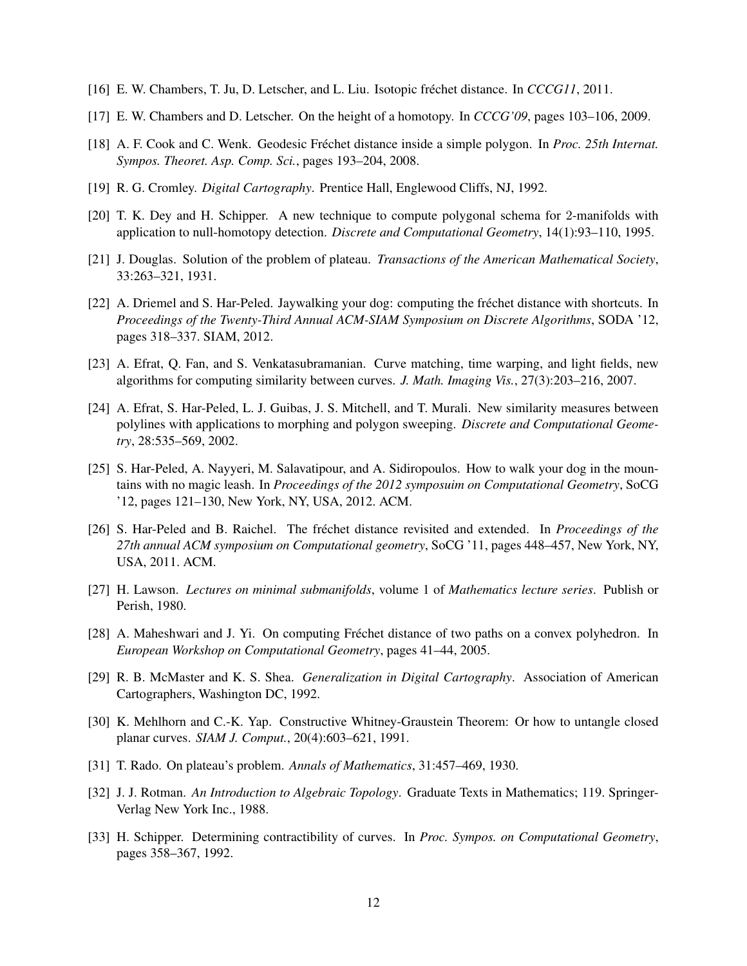- <span id="page-12-6"></span>[16] E. W. Chambers, T. Ju, D. Letscher, and L. Liu. Isotopic frechet distance. In ´ *CCCG11*, 2011.
- <span id="page-12-7"></span>[17] E. W. Chambers and D. Letscher. On the height of a homotopy. In *CCCG'09*, pages 103–106, 2009.
- <span id="page-12-4"></span>[18] A. F. Cook and C. Wenk. Geodesic Fréchet distance inside a simple polygon. In Proc. 25th Internat. *Sympos. Theoret. Asp. Comp. Sci.*, pages 193–204, 2008.
- <span id="page-12-9"></span>[19] R. G. Cromley. *Digital Cartography*. Prentice Hall, Englewood Cliffs, NJ, 1992.
- <span id="page-12-15"></span>[20] T. K. Dey and H. Schipper. A new technique to compute polygonal schema for 2-manifolds with application to null-homotopy detection. *Discrete and Computational Geometry*, 14(1):93–110, 1995.
- <span id="page-12-11"></span>[21] J. Douglas. Solution of the problem of plateau. *Transactions of the American Mathematical Society*, 33:263–321, 1931.
- <span id="page-12-0"></span>[22] A. Driemel and S. Har-Peled. Jaywalking your dog: computing the frechet distance with shortcuts. In ´ *Proceedings of the Twenty-Third Annual ACM-SIAM Symposium on Discrete Algorithms*, SODA '12, pages 318–337. SIAM, 2012.
- <span id="page-12-1"></span>[23] A. Efrat, Q. Fan, and S. Venkatasubramanian. Curve matching, time warping, and light fields, new algorithms for computing similarity between curves. *J. Math. Imaging Vis.*, 27(3):203–216, 2007.
- <span id="page-12-5"></span>[24] A. Efrat, S. Har-Peled, L. J. Guibas, J. S. Mitchell, and T. Murali. New similarity measures between polylines with applications to morphing and polygon sweeping. *Discrete and Computational Geometry*, 28:535–569, 2002.
- <span id="page-12-8"></span>[25] S. Har-Peled, A. Nayyeri, M. Salavatipour, and A. Sidiropoulos. How to walk your dog in the mountains with no magic leash. In *Proceedings of the 2012 symposuim on Computational Geometry*, SoCG '12, pages 121–130, New York, NY, USA, 2012. ACM.
- <span id="page-12-3"></span>[26] S. Har-Peled and B. Raichel. The fréchet distance revisited and extended. In *Proceedings of the 27th annual ACM symposium on Computational geometry*, SoCG '11, pages 448–457, New York, NY, USA, 2011. ACM.
- <span id="page-12-13"></span>[27] H. Lawson. *Lectures on minimal submanifolds*, volume 1 of *Mathematics lecture series*. Publish or Perish, 1980.
- <span id="page-12-2"></span>[28] A. Maheshwari and J. Yi. On computing Fréchet distance of two paths on a convex polyhedron. In *European Workshop on Computational Geometry*, pages 41–44, 2005.
- <span id="page-12-10"></span>[29] R. B. McMaster and K. S. Shea. *Generalization in Digital Cartography*. Association of American Cartographers, Washington DC, 1992.
- <span id="page-12-14"></span>[30] K. Mehlhorn and C.-K. Yap. Constructive Whitney-Graustein Theorem: Or how to untangle closed planar curves. *SIAM J. Comput.*, 20(4):603–621, 1991.
- <span id="page-12-12"></span>[31] T. Rado. On plateau's problem. *Annals of Mathematics*, 31:457–469, 1930.
- <span id="page-12-17"></span>[32] J. J. Rotman. *An Introduction to Algebraic Topology*. Graduate Texts in Mathematics; 119. Springer-Verlag New York Inc., 1988.
- <span id="page-12-16"></span>[33] H. Schipper. Determining contractibility of curves. In *Proc. Sympos. on Computational Geometry*, pages 358–367, 1992.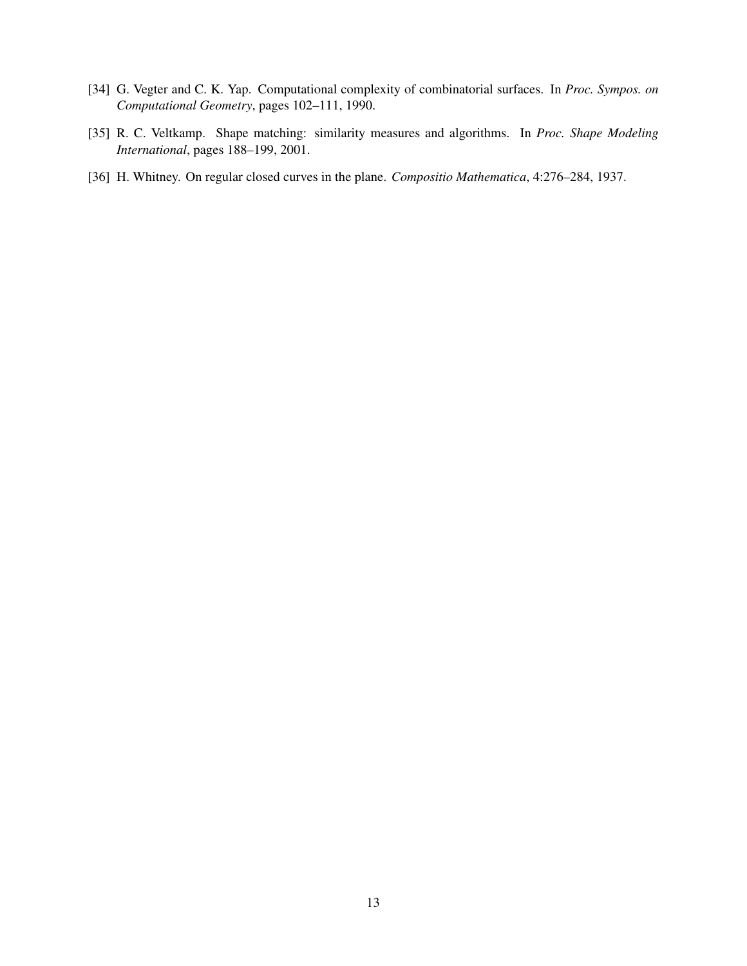- <span id="page-13-2"></span>[34] G. Vegter and C. K. Yap. Computational complexity of combinatorial surfaces. In *Proc. Sympos. on Computational Geometry*, pages 102–111, 1990.
- <span id="page-13-0"></span>[35] R. C. Veltkamp. Shape matching: similarity measures and algorithms. In *Proc. Shape Modeling International*, pages 188–199, 2001.
- <span id="page-13-1"></span>[36] H. Whitney. On regular closed curves in the plane. *Compositio Mathematica*, 4:276–284, 1937.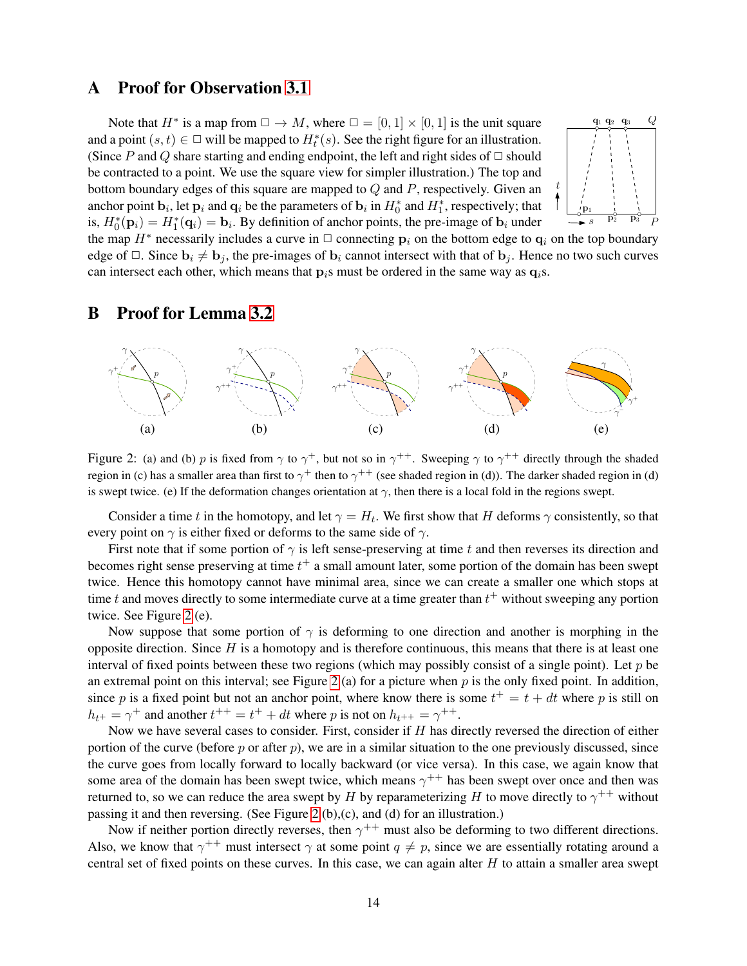# <span id="page-14-0"></span>A Proof for Observation [3.1](#page-4-2)

Note that  $H^*$  is a map from  $\Box \to M$ , where  $\Box = [0, 1] \times [0, 1]$  is the unit square and a point  $(s, t) \in \square$  will be mapped to  $H_t^*(s)$ . See the right figure for an illustration. (Since P and Q share starting and ending endpoint, the left and right sides of  $\Box$  should be contracted to a point. We use the square view for simpler illustration.) The top and bottom boundary edges of this square are mapped to  $Q$  and  $P$ , respectively. Given an anchor point  $\mathbf{b}_i$ , let  $\mathbf{p}_i$  and  $\mathbf{q}_i$  be the parameters of  $\mathbf{b}_i$  in  $H_0^*$  and  $H_1^*$ , respectively; that is,  $H_0^*(\mathbf{p}_i) = H_1^*(\mathbf{q}_i) = \mathbf{b}_i$ . By definition of anchor points, the pre-image of  $\mathbf{b}_i$  under



the map  $H^*$  necessarily includes a curve in  $\Box$  connecting  $\mathbf{p}_i$  on the bottom edge to  $\mathbf{q}_i$  on the top boundary edge of  $\Box$ . Since  $\mathbf{b}_i \neq \mathbf{b}_j$ , the pre-images of  $\mathbf{b}_i$  cannot intersect with that of  $\mathbf{b}_j$ . Hence no two such curves can intersect each other, which means that  $p_i$ s must be ordered in the same way as  $q_i$ s.

### <span id="page-14-1"></span>B Proof for Lemma [3.2](#page-4-0)



<span id="page-14-2"></span>Figure 2: (a) and (b) p is fixed from  $\gamma$  to  $\gamma^+$ , but not so in  $\gamma^{++}$ . Sweeping  $\gamma$  to  $\gamma^{++}$  directly through the shaded region in (c) has a smaller area than first to  $\gamma^+$  then to  $\gamma^{++}$  (see shaded region in (d)). The darker shaded region in (d) is swept twice. (e) If the deformation changes orientation at  $\gamma$ , then there is a local fold in the regions swept.

Consider a time t in the homotopy, and let  $\gamma = H_t$ . We first show that H deforms  $\gamma$  consistently, so that every point on  $\gamma$  is either fixed or deforms to the same side of  $\gamma$ .

First note that if some portion of  $\gamma$  is left sense-preserving at time t and then reverses its direction and becomes right sense preserving at time  $t^+$  a small amount later, some portion of the domain has been swept twice. Hence this homotopy cannot have minimal area, since we can create a smaller one which stops at time t and moves directly to some intermediate curve at a time greater than  $t^+$  without sweeping any portion twice. See Figure [2](#page-14-2) (e).

Now suppose that some portion of  $\gamma$  is deforming to one direction and another is morphing in the opposite direction. Since  $H$  is a homotopy and is therefore continuous, this means that there is at least one interval of fixed points between these two regions (which may possibly consist of a single point). Let  $p$  be an extremal point on this interval; see Figure [2](#page-14-2) (a) for a picture when  $p$  is the only fixed point. In addition, since p is a fixed point but not an anchor point, where know there is some  $t^+ = t + dt$  where p is still on  $h_{t+} = \gamma^+$  and another  $t^{++} = t^+ + dt$  where p is not on  $h_{t++} = \gamma^{++}$ .

Now we have several cases to consider. First, consider if  $H$  has directly reversed the direction of either portion of the curve (before p or after p), we are in a similar situation to the one previously discussed, since the curve goes from locally forward to locally backward (or vice versa). In this case, we again know that some area of the domain has been swept twice, which means  $\gamma^{++}$  has been swept over once and then was returned to, so we can reduce the area swept by H by reparameterizing H to move directly to  $\gamma^{++}$  without passing it and then reversing. (See Figure [2](#page-14-2) (b),(c), and (d) for an illustration.)

Now if neither portion directly reverses, then  $\gamma^{++}$  must also be deforming to two different directions. Also, we know that  $\gamma^{++}$  must intersect  $\gamma$  at some point  $q \neq p$ , since we are essentially rotating around a central set of fixed points on these curves. In this case, we can again alter  $H$  to attain a smaller area swept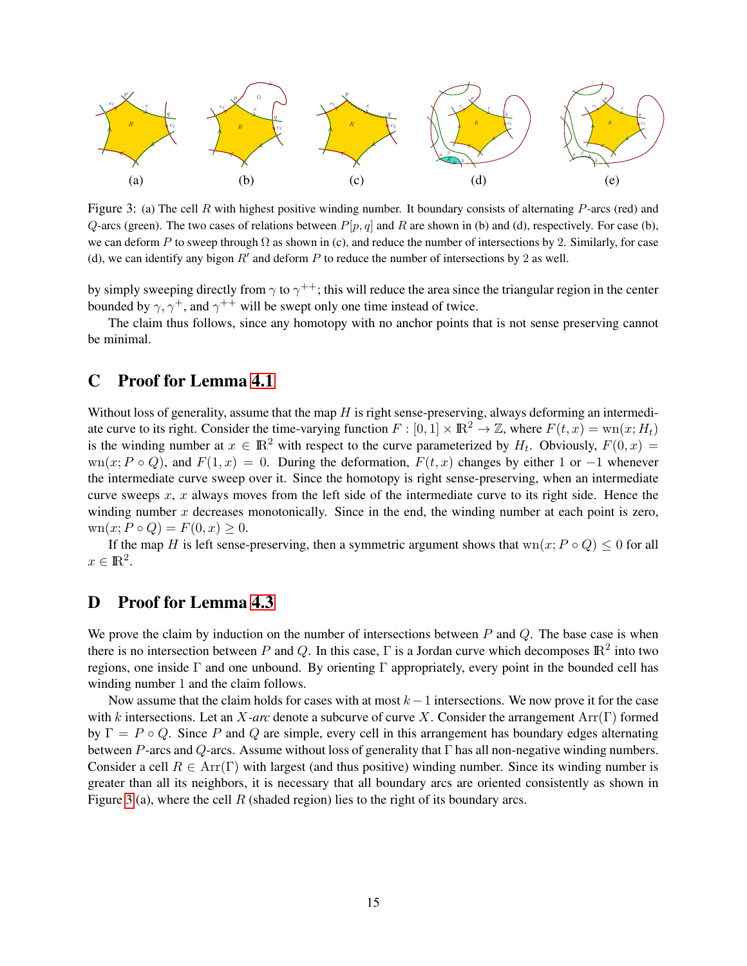

<span id="page-15-2"></span>Figure 3: (a) The cell R with highest positive winding number. It boundary consists of alternating  $P$ -arcs (red) and Q-arcs (green). The two cases of relations between  $P[p, q]$  and R are shown in (b) and (d), respectively. For case (b), we can deform P to sweep through  $\Omega$  as shown in (c), and reduce the number of intersections by 2. Similarly, for case (d), we can identify any bigon  $R'$  and deform  $P$  to reduce the number of intersections by 2 as well.

by simply sweeping directly from  $\gamma$  to  $\gamma^{++}$ ; this will reduce the area since the triangular region in the center bounded by  $\gamma$ ,  $\gamma^+$ , and  $\gamma^{++}$  will be swept only one time instead of twice.

The claim thus follows, since any homotopy with no anchor points that is not sense preserving cannot be minimal.

# <span id="page-15-0"></span>C Proof for Lemma [4.1](#page-5-3)

Without loss of generality, assume that the map  $H$  is right sense-preserving, always deforming an intermediate curve to its right. Consider the time-varying function  $F : [0, 1] \times \mathbb{R}^2 \to \mathbb{Z}$ , where  $F(t, x) = \text{wn}(x; H_t)$ is the winding number at  $x \in \mathbb{R}^2$  with respect to the curve parameterized by  $H_t$ . Obviously,  $F(0, x) =$ wn(x; P ∘ Q), and  $F(1, x) = 0$ . During the deformation,  $F(t, x)$  changes by either 1 or -1 whenever the intermediate curve sweep over it. Since the homotopy is right sense-preserving, when an intermediate curve sweeps  $x$ ,  $x$  always moves from the left side of the intermediate curve to its right side. Hence the winding number  $x$  decreases monotonically. Since in the end, the winding number at each point is zero,  $\text{wn}(x; P \circ Q) = F(0, x) \geq 0.$ 

If the map H is left sense-preserving, then a symmetric argument shows that wn $(x; P \circ Q) \le 0$  for all  $x \in \mathbb{R}^2$ .

# <span id="page-15-1"></span>D Proof for Lemma [4.3](#page-5-4)

We prove the claim by induction on the number of intersections between  $P$  and  $Q$ . The base case is when there is no intersection between P and Q. In this case,  $\Gamma$  is a Jordan curve which decomposes  $\mathbb{R}^2$  into two regions, one inside  $\Gamma$  and one unbound. By orienting  $\Gamma$  appropriately, every point in the bounded cell has winding number 1 and the claim follows.

Now assume that the claim holds for cases with at most  $k - 1$  intersections. We now prove it for the case with k intersections. Let an X*-arc* denote a subcurve of curve X. Consider the arrangement Arr(Γ) formed by  $\Gamma = P \circ Q$ . Since P and Q are simple, every cell in this arrangement has boundary edges alternating between P-arcs and Q-arcs. Assume without loss of generality that  $\Gamma$  has all non-negative winding numbers. Consider a cell  $R \in \text{Arr}(\Gamma)$  with largest (and thus positive) winding number. Since its winding number is greater than all its neighbors, it is necessary that all boundary arcs are oriented consistently as shown in Figure [3](#page-15-2) (a), where the cell  $R$  (shaded region) lies to the right of its boundary arcs.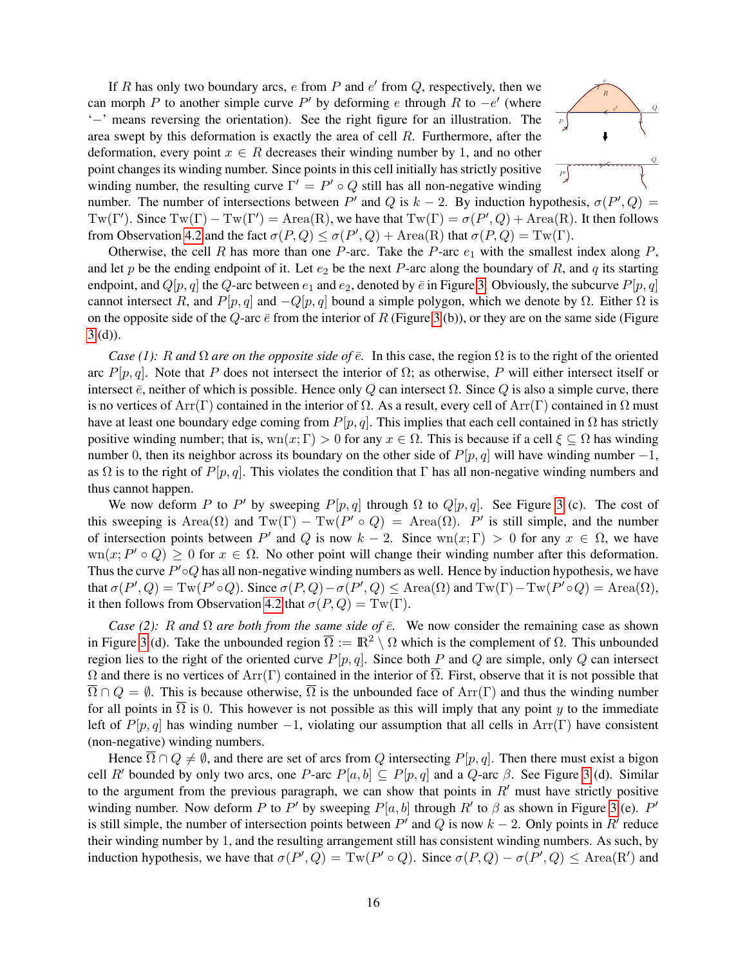If R has only two boundary arcs,  $e$  from  $P$  and  $e'$  from  $Q$ , respectively, then we can morph P to another simple curve P' by deforming e through R to  $-e'$  (where '−' means reversing the orientation). See the right figure for an illustration. The area swept by this deformation is exactly the area of cell  $R$ . Furthermore, after the deformation, every point  $x \in R$  decreases their winding number by 1, and no other point changes its winding number. Since points in this cell initially has strictly positive winding number, the resulting curve  $\Gamma' = P' \circ Q$  still has all non-negative winding



number. The number of intersections between  $P'$  and  $Q$  is  $k - 2$ . By induction hypothesis,  $\sigma(P', Q)$  = Tw(Γ'). Since  $Tw(\Gamma) - Tw(\Gamma') = Area(R)$ , we have that  $Tw(\Gamma) = \sigma(P', Q) + Area(R)$ . It then follows from Observation [4.2](#page-5-2) and the fact  $\sigma(P,Q) \leq \sigma(P',Q) + \text{Area}(R)$  that  $\sigma(P,Q) = \text{Tw}(\Gamma)$ .

Otherwise, the cell R has more than one P-arc. Take the P-arc  $e_1$  with the smallest index along P, and let p be the ending endpoint of it. Let  $e_2$  be the next P-arc along the boundary of R, and q its starting endpoint, and  $Q[p, q]$  the  $Q$ -arc between  $e_1$  and  $e_2$ , denoted by  $\bar{e}$  in Figure [3.](#page-15-2) Obviously, the subcurve  $P[p, q]$ cannot intersect R, and  $P[p, q]$  and  $-Q[p, q]$  bound a simple polygon, which we denote by  $\Omega$ . Either  $\Omega$  is on the opposite side of the Q-arc  $\bar{e}$  from the interior of R (Figure [3](#page-15-2) (b)), or they are on the same side (Figure [3](#page-15-2) (d)).

*Case (1):* R *and*  $\Omega$  *are on the opposite side of*  $\bar{e}$ . In this case, the region  $\Omega$  is to the right of the oriented arc  $P[p, q]$ . Note that P does not intersect the interior of  $\Omega$ ; as otherwise, P will either intersect itself or intersect  $\bar{e}$ , neither of which is possible. Hence only Q can intersect  $\Omega$ . Since Q is also a simple curve, there is no vertices of Arr(Γ) contained in the interior of  $\Omega$ . As a result, every cell of Arr(Γ) contained in  $\Omega$  must have at least one boundary edge coming from  $P[p, q]$ . This implies that each cell contained in  $\Omega$  has strictly positive winding number; that is, wn $(x; \Gamma) > 0$  for any  $x \in \Omega$ . This is because if a cell  $\xi \subseteq \Omega$  has winding number 0, then its neighbor across its boundary on the other side of  $P[p, q]$  will have winding number  $-1$ , as  $\Omega$  is to the right of P[p, q]. This violates the condition that Γ has all non-negative winding numbers and thus cannot happen.

We now deform P to P' by sweeping  $P[p,q]$  through  $\Omega$  to  $Q[p,q]$ . See Figure [3](#page-15-2) (c). The cost of this sweeping is Area $(\Omega)$  and Tw( $\Gamma$ ) – Tw( $P' \circ Q$ ) = Area $(\Omega)$ .  $P'$  is still simple, and the number of intersection points between P' and Q is now  $k - 2$ . Since wn $(x; \Gamma) > 0$  for any  $x \in \Omega$ , we have  $\text{wn}(x; P' \circ Q) \geq 0$  for  $x \in \Omega$ . No other point will change their winding number after this deformation. Thus the curve  $P' \circ Q$  has all non-negative winding numbers as well. Hence by induction hypothesis, we have that  $\sigma(P', Q) = \mathrm{Tw}(P' \circ Q)$ . Since  $\sigma(P, Q) - \sigma(P', Q) \le \text{Area}(\Omega)$  and  $\mathrm{Tw}(\Gamma) - \mathrm{Tw}(P' \circ Q) = \text{Area}(\Omega)$ , it then follows from Observation [4.2](#page-5-2) that  $\sigma(P,Q) = \text{Tw}(\Gamma)$ .

*Case (2):* R and  $\Omega$  are both from the same side of  $\bar{e}$ . We now consider the remaining case as shown in Figure [3](#page-15-2) (d). Take the unbounded region  $\overline{\Omega} := \mathbb{R}^2 \setminus \Omega$  which is the complement of  $\Omega$ . This unbounded region lies to the right of the oriented curve  $P[p, q]$ . Since both P and Q are simple, only Q can intersect  $\Omega$  and there is no vertices of Arr(Γ) contained in the interior of  $\overline{\Omega}$ . First, observe that it is not possible that  $\overline{\Omega} \cap Q = \emptyset$ . This is because otherwise,  $\overline{\Omega}$  is the unbounded face of Arr(Γ) and thus the winding number for all points in  $\Omega$  is 0. This however is not possible as this will imply that any point y to the immediate left of  $P[p,q]$  has winding number -1, violating our assumption that all cells in Arr(Γ) have consistent (non-negative) winding numbers.

Hence  $\overline{\Omega} \cap Q \neq \emptyset$ , and there are set of arcs from Q intersecting P[p, q]. Then there must exist a bigon cell R' bounded by only two arcs, one P-arc  $P[a, b] \subseteq P[p, q]$  and a Q-arc  $\beta$ . See Figure [3](#page-15-2) (d). Similar to the argument from the previous paragraph, we can show that points in  $R'$  must have strictly positive winding number. Now deform P to P' by sweeping  $P[a, b]$  through R' to  $\beta$  as shown in Figure [3](#page-15-2) (e). P' is still simple, the number of intersection points between  $P'$  and  $Q$  is now  $k - 2$ . Only points in  $R'$  reduce their winding number by 1, and the resulting arrangement still has consistent winding numbers. As such, by induction hypothesis, we have that  $\sigma(P', Q) = \text{Tw}(P' \circ Q)$ . Since  $\sigma(P, Q) - \sigma(P', Q) \le \text{Area}(R')$  and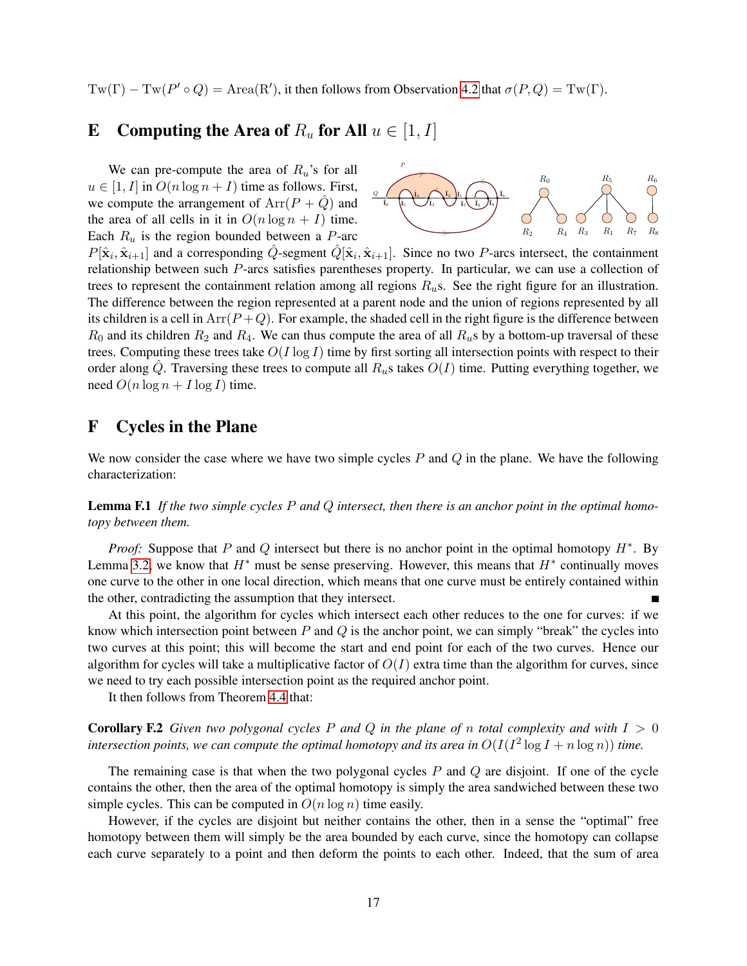$Tw(\Gamma) - Tw(P' \circ Q) = Area(R'),$  it then follows from Observation [4.2](#page-5-2) that  $\sigma(P,Q) = Tw(\Gamma)$ .

# <span id="page-17-1"></span>E Computing the Area of  $R_u$  for All  $u \in [1, I]$

We can pre-compute the area of  $R_u$ 's for all  $u \in [1, I]$  in  $O(n \log n + I)$  time as follows. First, we compute the arrangement of  $Arr(P + Q)$  and the area of all cells in it in  $O(n \log n + I)$  time. Each  $R_u$  is the region bounded between a P-arc



 $P[\hat{\mathbf{x}}_i, \hat{\mathbf{x}}_{i+1}]$  and a corresponding  $\hat{Q}$ -segment  $\hat{Q}[\hat{\mathbf{x}}_i, \hat{\mathbf{x}}_{i+1}]$ . Since no two P-arcs intersect, the containment relationship between such P-arcs satisfies parentheses property. In particular, we can use a collection of trees to represent the containment relation among all regions  $R_u$ s. See the right figure for an illustration. The difference between the region represented at a parent node and the union of regions represented by all its children is a cell in  $Arr(P+Q)$ . For example, the shaded cell in the right figure is the difference between  $R_0$  and its children  $R_2$  and  $R_4$ . We can thus compute the area of all  $R_u$ s by a bottom-up traversal of these trees. Computing these trees take  $O(I \log I)$  time by first sorting all intersection points with respect to their order along Q. Traversing these trees to compute all  $R_u$ s takes  $O(I)$  time. Putting everything together, we need  $O(n \log n + I \log I)$  time.

# <span id="page-17-0"></span>F Cycles in the Plane

We now consider the case where we have two simple cycles  $P$  and  $Q$  in the plane. We have the following characterization:

<span id="page-17-2"></span>Lemma F.1 *If the two simple cycles* P *and* Q *intersect, then there is an anchor point in the optimal homotopy between them.*

*Proof:* Suppose that P and Q intersect but there is no anchor point in the optimal homotopy  $H^*$ . By Lemma [3.2,](#page-4-0) we know that  $H^*$  must be sense preserving. However, this means that  $H^*$  continually moves one curve to the other in one local direction, which means that one curve must be entirely contained within the other, contradicting the assumption that they intersect.

At this point, the algorithm for cycles which intersect each other reduces to the one for curves: if we know which intersection point between P and Q is the anchor point, we can simply "break" the cycles into two curves at this point; this will become the start and end point for each of the two curves. Hence our algorithm for cycles will take a multiplicative factor of  $O(I)$  extra time than the algorithm for curves, since we need to try each possible intersection point as the required anchor point.

It then follows from Theorem [4.4](#page-8-0) that:

**Corollary F.2** *Given two polygonal cycles*  $P$  *and*  $Q$  *in the plane of*  $n$  *total complexity and with*  $I > 0$ intersection points, we can compute the optimal homotopy and its area in  $O(I(I^2\log I + n\log n))$  time.

The remaining case is that when the two polygonal cycles  $P$  and  $Q$  are disjoint. If one of the cycle contains the other, then the area of the optimal homotopy is simply the area sandwiched between these two simple cycles. This can be computed in  $O(n \log n)$  time easily.

However, if the cycles are disjoint but neither contains the other, then in a sense the "optimal" free homotopy between them will simply be the area bounded by each curve, since the homotopy can collapse each curve separately to a point and then deform the points to each other. Indeed, that the sum of area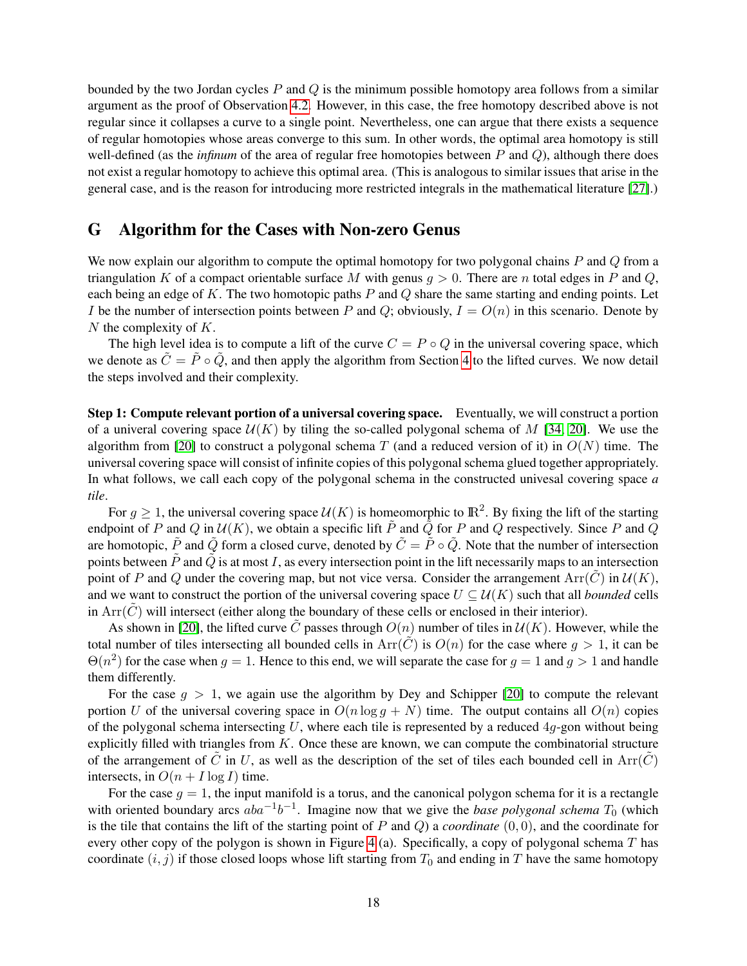bounded by the two Jordan cycles P and Q is the minimum possible homotopy area follows from a similar argument as the proof of Observation [4.2.](#page-5-2) However, in this case, the free homotopy described above is not regular since it collapses a curve to a single point. Nevertheless, one can argue that there exists a sequence of regular homotopies whose areas converge to this sum. In other words, the optimal area homotopy is still well-defined (as the *infinum* of the area of regular free homotopies between P and Q), although there does not exist a regular homotopy to achieve this optimal area. (This is analogous to similar issues that arise in the general case, and is the reason for introducing more restricted integrals in the mathematical literature [\[27\]](#page-12-13).)

### <span id="page-18-0"></span>G Algorithm for the Cases with Non-zero Genus

We now explain our algorithm to compute the optimal homotopy for two polygonal chains  $P$  and  $Q$  from a triangulation K of a compact orientable surface M with genus  $g > 0$ . There are n total edges in P and Q, each being an edge of  $K$ . The two homotopic paths  $P$  and  $Q$  share the same starting and ending points. Let I be the number of intersection points between P and Q; obviously,  $I = O(n)$  in this scenario. Denote by  $N$  the complexity of  $K$ .

The high level idea is to compute a lift of the curve  $C = P \circ Q$  in the universal covering space, which we denote as  $C = P \circ Q$ , and then apply the algorithm from Section [4](#page-4-3) to the lifted curves. We now detail the steps involved and their complexity.

Step 1: Compute relevant portion of a universal covering space. Eventually, we will construct a portion of a univeral covering space  $U(K)$  by tiling the so-called polygonal schema of M [\[34,](#page-13-2) [20\]](#page-12-15). We use the algorithm from [\[20\]](#page-12-15) to construct a polygonal schema T (and a reduced version of it) in  $O(N)$  time. The universal covering space will consist of infinite copies of this polygonal schema glued together appropriately. In what follows, we call each copy of the polygonal schema in the constructed univesal covering space *a tile*.

For  $g \ge 1$ , the universal covering space  $\mathcal{U}(K)$  is homeomorphic to  $\mathbb{R}^2$ . By fixing the lift of the starting endpoint of P and Q in  $U(K)$ , we obtain a specific lift P and Q for P and Q respectively. Since P and Q are homotopic,  $\tilde{P}$  and  $\tilde{Q}$  form a closed curve, denoted by  $\tilde{C} = \tilde{P} \circ \tilde{Q}$ . Note that the number of intersection points between  $\tilde{P}$  and  $\tilde{Q}$  is at most I, as every intersection point in the lift necessarily maps to an intersection point of P and Q under the covering map, but not vice versa. Consider the arrangement  $Arr(\tilde{C})$  in  $U(K)$ , and we want to construct the portion of the universal covering space  $U \subseteq \mathcal{U}(K)$  such that all *bounded* cells in  $Arr(C)$  will intersect (either along the boundary of these cells or enclosed in their interior).

As shown in [\[20\]](#page-12-15), the lifted curve C passes through  $O(n)$  number of tiles in  $U(K)$ . However, while the total number of tiles intersecting all bounded cells in  $Arr(C)$  is  $O(n)$  for the case where  $g > 1$ , it can be  $\Theta(n^2)$  for the case when  $g = 1$ . Hence to this end, we will separate the case for  $g = 1$  and  $g > 1$  and handle them differently.

For the case  $q > 1$ , we again use the algorithm by Dey and Schipper [\[20\]](#page-12-15) to compute the relevant portion U of the universal covering space in  $O(n \log q + N)$  time. The output contains all  $O(n)$  copies of the polygonal schema intersecting U, where each tile is represented by a reduced  $4q$ -gon without being explicitly filled with triangles from  $K$ . Once these are known, we can compute the combinatorial structure of the arrangement of C in U, as well as the description of the set of tiles each bounded cell in  $Arr(C)$ intersects, in  $O(n + I \log I)$  time.

For the case  $g = 1$ , the input manifold is a torus, and the canonical polygon schema for it is a rectangle with oriented boundary arcs  $aba^{-1}b^{-1}$ . Imagine now that we give the *base polygonal schema*  $T_0$  (which is the tile that contains the lift of the starting point of P and Q) a *coordinate* (0, 0), and the coordinate for every other copy of the polygon is shown in Figure [4](#page-19-0) (a). Specifically, a copy of polygonal schema T has coordinate  $(i, j)$  if those closed loops whose lift starting from  $T_0$  and ending in T have the same homotopy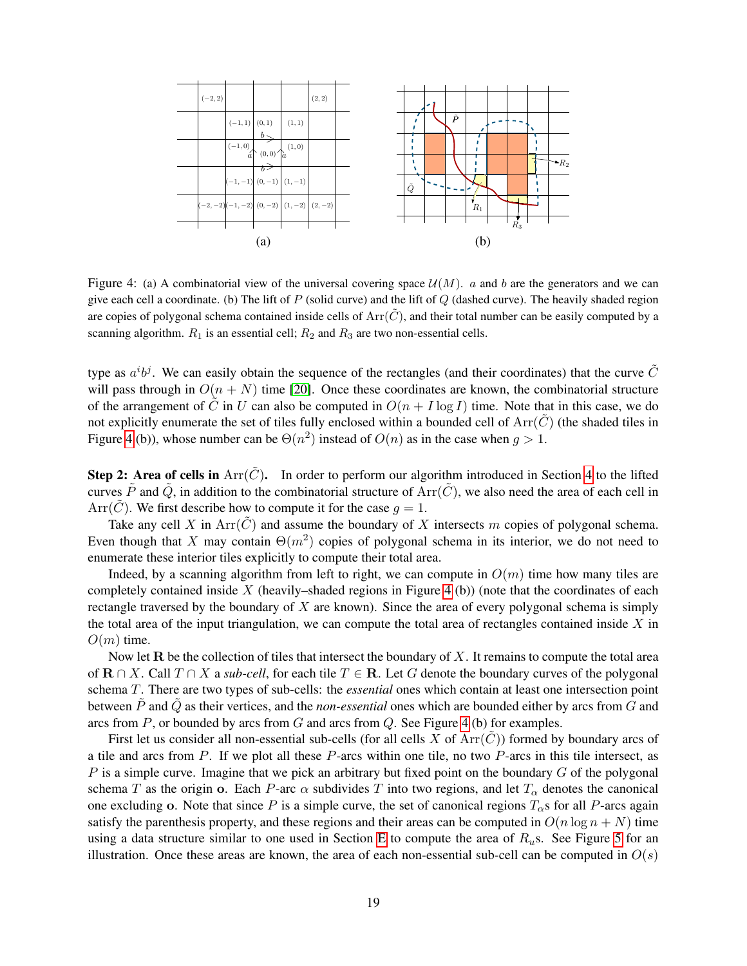

<span id="page-19-0"></span>Figure 4: (a) A combinatorial view of the universal covering space  $\mathcal{U}(M)$ . a and b are the generators and we can give each cell a coordinate. (b) The lift of  $P$  (solid curve) and the lift of  $Q$  (dashed curve). The heavily shaded region are copies of polygonal schema contained inside cells of  $Arr(\tilde{C})$ , and their total number can be easily computed by a scanning algorithm.  $R_1$  is an essential cell;  $R_2$  and  $R_3$  are two non-essential cells.

type as  $a^i b^j$ . We can easily obtain the sequence of the rectangles (and their coordinates) that the curve  $\tilde{C}$ will pass through in  $O(n + N)$  time [\[20\]](#page-12-15). Once these coordinates are known, the combinatorial structure of the arrangement of  $\tilde{C}$  in U can also be computed in  $O(n + I \log I)$  time. Note that in this case, we do not explicitly enumerate the set of tiles fully enclosed within a bounded cell of  $Arr(\tilde{C})$  (the shaded tiles in Figure [4](#page-19-0) (b)), whose number can be  $\Theta(n^2)$  instead of  $O(n)$  as in the case when  $g > 1$ .

**Step 2: Area of cells in**  $Arr(\tilde{C})$ . In order to perform our algorithm introduced in Section [4](#page-4-3) to the lifted curves  $\tilde{P}$  and  $\tilde{Q}$ , in addition to the combinatorial structure of Arr( $\tilde{C}$ ), we also need the area of each cell in Arr( $\tilde{C}$ ). We first describe how to compute it for the case  $q = 1$ .

Take any cell X in Arr $(\tilde{C})$  and assume the boundary of X intersects m copies of polygonal schema. Even though that X may contain  $\Theta(m^2)$  copies of polygonal schema in its interior, we do not need to enumerate these interior tiles explicitly to compute their total area.

Indeed, by a scanning algorithm from left to right, we can compute in  $O(m)$  time how many tiles are completely contained inside  $X$  (heavily–shaded regions in Figure [4](#page-19-0) (b)) (note that the coordinates of each rectangle traversed by the boundary of  $X$  are known). Since the area of every polygonal schema is simply the total area of the input triangulation, we can compute the total area of rectangles contained inside  $X$  in  $O(m)$  time.

Now let  **be the collection of tiles that intersect the boundary of**  $X$ **. It remains to compute the total area** of  $\mathbf{R} \cap X$ . Call  $T \cap X$  a *sub-cell*, for each tile  $T \in \mathbf{R}$ . Let G denote the boundary curves of the polygonal schema T. There are two types of sub-cells: the *essential* ones which contain at least one intersection point between  $\tilde{P}$  and  $\tilde{Q}$  as their vertices, and the *non-essential* ones which are bounded either by arcs from G and arcs from  $P$ , or bounded by arcs from  $G$  and arcs from  $Q$ . See Figure [4](#page-19-0) (b) for examples.

First let us consider all non-essential sub-cells (for all cells X of  $Arr(C)$ ) formed by boundary arcs of a tile and arcs from P. If we plot all these P-arcs within one tile, no two P-arcs in this tile intersect, as  $P$  is a simple curve. Imagine that we pick an arbitrary but fixed point on the boundary  $G$  of the polygonal schema T as the origin o. Each P-arc  $\alpha$  subdivides T into two regions, and let  $T_{\alpha}$  denotes the canonical one excluding o. Note that since P is a simple curve, the set of canonical regions  $T_{\alpha}$ s for all P-arcs again satisfy the parenthesis property, and these regions and their areas can be computed in  $O(n \log n + N)$  time using a data structure similar to one used in Section [E](#page-17-1) to compute the area of  $R<sub>u</sub>$ s. See Figure [5](#page-20-0) for an illustration. Once these areas are known, the area of each non-essential sub-cell can be computed in  $O(s)$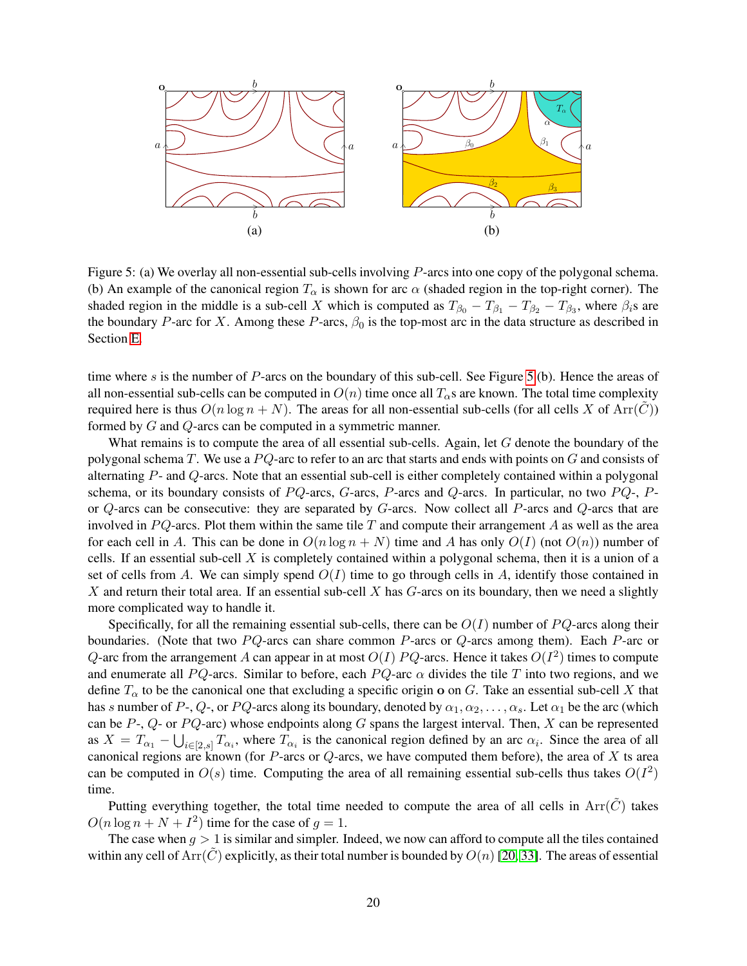

<span id="page-20-0"></span>Figure 5: (a) We overlay all non-essential sub-cells involving P-arcs into one copy of the polygonal schema. (b) An example of the canonical region  $T_{\alpha}$  is shown for arc  $\alpha$  (shaded region in the top-right corner). The shaded region in the middle is a sub-cell X which is computed as  $T_{\beta_0} - T_{\beta_1} - T_{\beta_2} - T_{\beta_3}$ , where  $\beta_i$ s are the boundary P-arc for X. Among these P-arcs,  $\beta_0$  is the top-most arc in the data structure as described in Section [E.](#page-17-1)

time where s is the number of P-arcs on the boundary of this sub-cell. See Figure [5](#page-20-0) (b). Hence the areas of all non-essential sub-cells can be computed in  $O(n)$  time once all  $T_{\alpha}$ s are known. The total time complexity required here is thus  $O(n \log n + N)$ . The areas for all non-essential sub-cells (for all cells X of Arr( $\hat{C}$ )) formed by G and Q-arcs can be computed in a symmetric manner.

What remains is to compute the area of all essential sub-cells. Again, let  $G$  denote the boundary of the polygonal schema T. We use a  $PQ$ -arc to refer to an arc that starts and ends with points on G and consists of alternating P- and Q-arcs. Note that an essential sub-cell is either completely contained within a polygonal schema, or its boundary consists of PQ-arcs, G-arcs, P-arcs and Q-arcs. In particular, no two PQ-, Por  $Q$ -arcs can be consecutive: they are separated by  $G$ -arcs. Now collect all  $P$ -arcs and  $Q$ -arcs that are involved in  $PQ$ -arcs. Plot them within the same tile T and compute their arrangement A as well as the area for each cell in A. This can be done in  $O(n \log n + N)$  time and A has only  $O(I)$  (not  $O(n)$ ) number of cells. If an essential sub-cell X is completely contained within a polygonal schema, then it is a union of a set of cells from A. We can simply spend  $O(I)$  time to go through cells in A, identify those contained in X and return their total area. If an essential sub-cell X has  $G$ -arcs on its boundary, then we need a slightly more complicated way to handle it.

Specifically, for all the remaining essential sub-cells, there can be  $O(I)$  number of PQ-arcs along their boundaries. (Note that two  $PQ$ -arcs can share common  $P$ -arcs or  $Q$ -arcs among them). Each  $P$ -arc or Q-arc from the arrangement A can appear in at most  $O(I)$  PQ-arcs. Hence it takes  $O(I^2)$  times to compute and enumerate all PQ-arcs. Similar to before, each PQ-arc  $\alpha$  divides the tile T into two regions, and we define  $T_{\alpha}$  to be the canonical one that excluding a specific origin o on G. Take an essential sub-cell X that has s number of P-, Q-, or PQ-arcs along its boundary, denoted by  $\alpha_1, \alpha_2, \ldots, \alpha_s$ . Let  $\alpha_1$  be the arc (which can be  $P$ -,  $Q$ - or  $PQ$ -arc) whose endpoints along G spans the largest interval. Then, X can be represented as  $X = T_{\alpha_1} - \bigcup_{i \in [2, s]} T_{\alpha_i}$ , where  $T_{\alpha_i}$  is the canonical region defined by an arc  $\alpha_i$ . Since the area of all canonical regions are known (for  $P$ -arcs or  $Q$ -arcs, we have computed them before), the area of  $X$  ts area can be computed in  $O(s)$  time. Computing the area of all remaining essential sub-cells thus takes  $O(I^2)$ time.

Putting everything together, the total time needed to compute the area of all cells in  $Arr(\tilde{C})$  takes  $O(n \log n + N + I^2)$  time for the case of  $g = 1$ .

The case when  $g > 1$  is similar and simpler. Indeed, we now can afford to compute all the tiles contained within any cell of Arr( $\tilde{C}$ ) explicitly, as their total number is bounded by  $O(n)$  [\[20,](#page-12-15) [33\]](#page-12-16). The areas of essential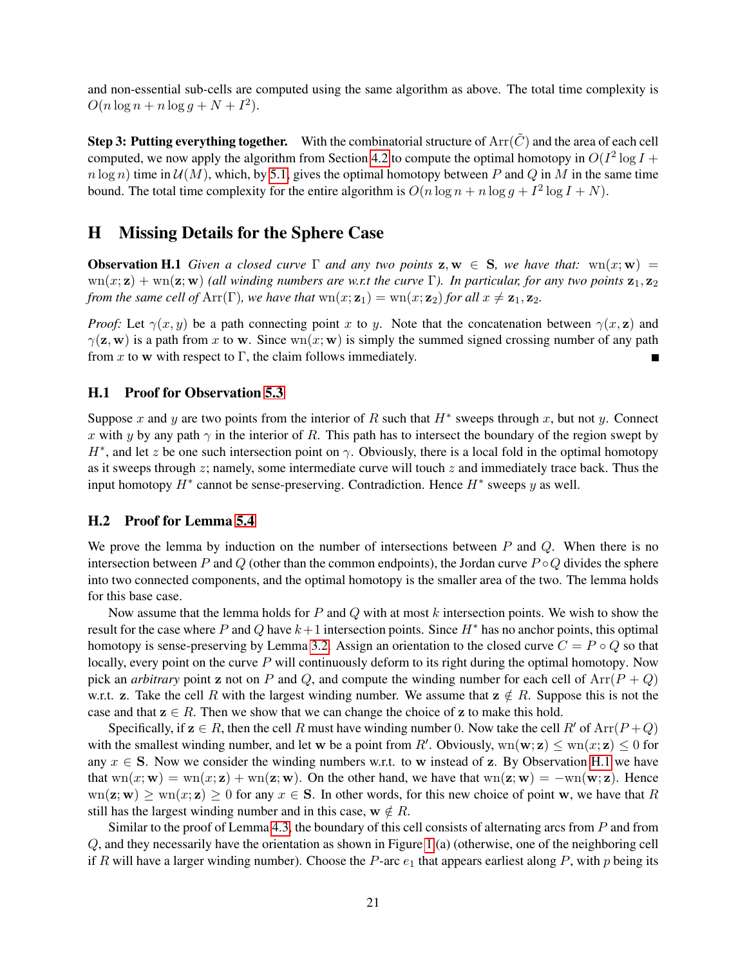and non-essential sub-cells are computed using the same algorithm as above. The total time complexity is  $O(n \log n + n \log g + N + I^2).$ 

Step 3: Putting everything together. With the combinatorial structure of  $Arr(\tilde{C})$  and the area of each cell computed, we now apply the algorithm from Section [4.2](#page-6-0) to compute the optimal homotopy in  $O(I^2 \log I +$  $n \log n$ ) time in  $\mathcal{U}(M)$ , which, by [5.1,](#page-9-2) gives the optimal homotopy between P and Q in M in the same time bound. The total time complexity for the entire algorithm is  $O(n \log n + n \log g + I^2 \log I + N)$ .

## <span id="page-21-0"></span>H Missing Details for the Sphere Case

<span id="page-21-3"></span>**Observation H.1** *Given a closed curve*  $\Gamma$  *and any two points*  $z, w \in S$ *, we have that:*  $wn(x; w)$  =  $wn(x; z) + wn(z; w)$  *(all winding numbers are w.r.t the curve*  $\Gamma$ *). In particular, for any two points*  $z_1, z_2$ *from the same cell of* Arr( $\Gamma$ )*, we have that*  $wn(x; \mathbf{z}_1) = wn(x; \mathbf{z}_2)$  *for all*  $x \neq \mathbf{z}_1$ *,*  $\mathbf{z}_2$ *.* 

*Proof:* Let  $\gamma(x, y)$  be a path connecting point x to y. Note that the concatenation between  $\gamma(x, z)$  and  $\gamma(z, w)$  is a path from x to w. Since wn $(x; w)$  is simply the summed signed crossing number of any path from x to w with respect to  $\Gamma$ , the claim follows immediately.

### <span id="page-21-1"></span>H.1 Proof for Observation [5.3](#page-9-1)

Suppose x and y are two points from the interior of R such that  $H^*$  sweeps through x, but not y. Connect x with y by any path  $\gamma$  in the interior of R. This path has to intersect the boundary of the region swept by  $H^*$ , and let z be one such intersection point on  $\gamma$ . Obviously, there is a local fold in the optimal homotopy as it sweeps through  $z$ ; namely, some intermediate curve will touch  $z$  and immediately trace back. Thus the input homotopy  $H^*$  cannot be sense-preserving. Contradiction. Hence  $H^*$  sweeps y as well.

#### <span id="page-21-2"></span>H.2 Proof for Lemma [5.4](#page-10-0)

We prove the lemma by induction on the number of intersections between  $P$  and  $Q$ . When there is no intersection between P and Q (other than the common endpoints), the Jordan curve  $P \circ Q$  divides the sphere into two connected components, and the optimal homotopy is the smaller area of the two. The lemma holds for this base case.

Now assume that the lemma holds for  $P$  and  $Q$  with at most  $k$  intersection points. We wish to show the result for the case where P and Q have  $k+1$  intersection points. Since  $H^*$  has no anchor points, this optimal homotopy is sense-preserving by Lemma [3.2.](#page-4-0) Assign an orientation to the closed curve  $C = P \circ Q$  so that locally, every point on the curve  $P$  will continuously deform to its right during the optimal homotopy. Now pick an *arbitrary* point z not on P and Q, and compute the winding number for each cell of  $Arr(P + Q)$ w.r.t. z. Take the cell R with the largest winding number. We assume that  $z \notin R$ . Suppose this is not the case and that  $z \in R$ . Then we show that we can change the choice of z to make this hold.

Specifically, if  $z \in R$ , then the cell R must have winding number 0. Now take the cell R' of Arr( $P + Q$ ) with the smallest winding number, and let w be a point from R'. Obviously,  $wn(w; z) \leq wn(x; z) \leq 0$  for any  $x \in S$ . Now we consider the winding numbers w.r.t. to w instead of z. By Observation [H.1](#page-21-3) we have that  $wn(x; w) = wn(x; z) + wn(z; w)$ . On the other hand, we have that  $wn(z; w) = -wn(w; z)$ . Hence  $\text{wn}(z; w) > \text{wn}(x; z) > 0$  for any  $x \in S$ . In other words, for this new choice of point w, we have that R still has the largest winding number and in this case,  $w \notin R$ .

Similar to the proof of Lemma [4.3,](#page-5-4) the boundary of this cell consists of alternating arcs from  $P$  and from Q, and they necessarily have the orientation as shown in Figure [1](#page-5-1) (a) (otherwise, one of the neighboring cell if R will have a larger winding number). Choose the P-arc  $e_1$  that appears earliest along P, with p being its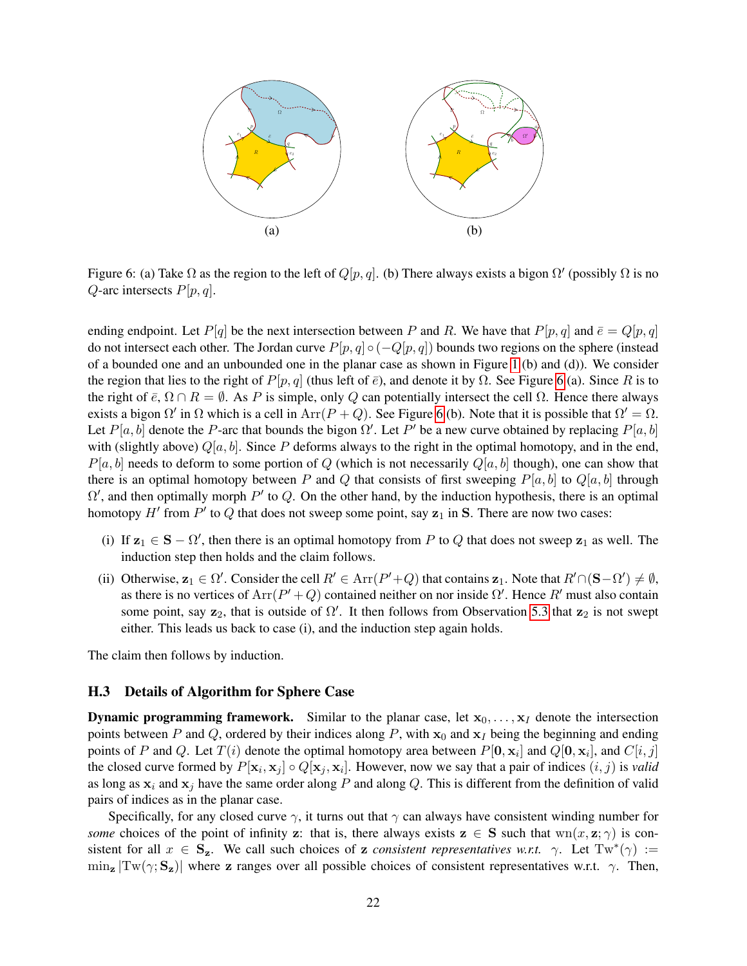

<span id="page-22-1"></span>Figure 6: (a) Take  $\Omega$  as the region to the left of  $Q[p,q]$ . (b) There always exists a bigon  $\Omega'$  (possibly  $\Omega$  is no  $Q$ -arc intersects  $P[p, q]$ .

ending endpoint. Let  $P[q]$  be the next intersection between P and R. We have that  $P[p,q]$  and  $\bar{e} = Q[p,q]$ do not intersect each other. The Jordan curve  $P[p, q] \circ (-Q[p, q])$  bounds two regions on the sphere (instead of a bounded one and an unbounded one in the planar case as shown in Figure [1](#page-5-1) (b) and (d)). We consider the region that lies to the right of  $P[p, q]$  (thus left of  $\bar{e}$ ), and denote it by  $\Omega$ . See Figure [6](#page-22-1) (a). Since R is to the right of  $\bar{e}$ ,  $\Omega \cap R = \emptyset$ . As P is simple, only Q can potentially intersect the cell  $\Omega$ . Hence there always exists a bigon  $\Omega'$  in  $\Omega$  which is a cell in  $Arr(P+Q)$ . See Figure [6](#page-22-1) (b). Note that it is possible that  $\Omega' = \Omega$ . Let  $P[a, b]$  denote the P-arc that bounds the bigon  $\Omega'$ . Let  $P'$  be a new curve obtained by replacing  $P[a, b]$ with (slightly above)  $Q[a, b]$ . Since P deforms always to the right in the optimal homotopy, and in the end,  $P[a, b]$  needs to deform to some portion of Q (which is not necessarily  $Q[a, b]$  though), one can show that there is an optimal homotopy between P and Q that consists of first sweeping  $P[a, b]$  to  $Q[a, b]$  through  $\Omega'$ , and then optimally morph P' to Q. On the other hand, by the induction hypothesis, there is an optimal homotopy  $H'$  from  $P'$  to  $Q$  that does not sweep some point, say  $z_1$  in S. There are now two cases:

- (i) If  $z_1 \in S \Omega'$ , then there is an optimal homotopy from P to Q that does not sweep  $z_1$  as well. The induction step then holds and the claim follows.
- (ii) Otherwise,  $z_1 \in \Omega'$ . Consider the cell  $R' \in \text{Arr}(P'+Q)$  that contains  $z_1$ . Note that  $R' \cap (\mathbf{S}-\Omega') \neq \emptyset$ , as there is no vertices of  $Arr(P' + Q)$  contained neither on nor inside  $\Omega'$ . Hence  $R'$  must also contain some point, say  $z_2$ , that is outside of  $\Omega'$ . It then follows from Observation [5.3](#page-9-1) that  $z_2$  is not swept either. This leads us back to case (i), and the induction step again holds.

The claim then follows by induction.

#### <span id="page-22-0"></span>H.3 Details of Algorithm for Sphere Case

**Dynamic programming framework.** Similar to the planar case, let  $x_0, \ldots, x_I$  denote the intersection points between P and Q, ordered by their indices along P, with  $x_0$  and  $x_1$  being the beginning and ending points of P and Q. Let  $T(i)$  denote the optimal homotopy area between  $P[\mathbf{0}, \mathbf{x}_i]$  and  $Q[\mathbf{0}, \mathbf{x}_i]$ , and  $C[i, j]$ the closed curve formed by  $P[\mathbf{x}_i, \mathbf{x}_j] \circ Q[\mathbf{x}_j, \mathbf{x}_i]$ . However, now we say that a pair of indices  $(i, j)$  is *valid* as long as  $x_i$  and  $x_j$  have the same order along P and along Q. This is different from the definition of valid pairs of indices as in the planar case.

Specifically, for any closed curve  $\gamma$ , it turns out that  $\gamma$  can always have consistent winding number for *some* choices of the point of infinity z: that is, there always exists  $z \in S$  such that wn $(x, z; \gamma)$  is consistent for all  $x \in S_z$ . We call such choices of z *consistent representatives w.r.t.*  $\gamma$ . Let  $Tw^*(\gamma) :=$  $\min_{\mathbf{z}} |Tw(\gamma; \mathbf{S}_{\mathbf{z}})|$  where z ranges over all possible choices of consistent representatives w.r.t.  $\gamma$ . Then,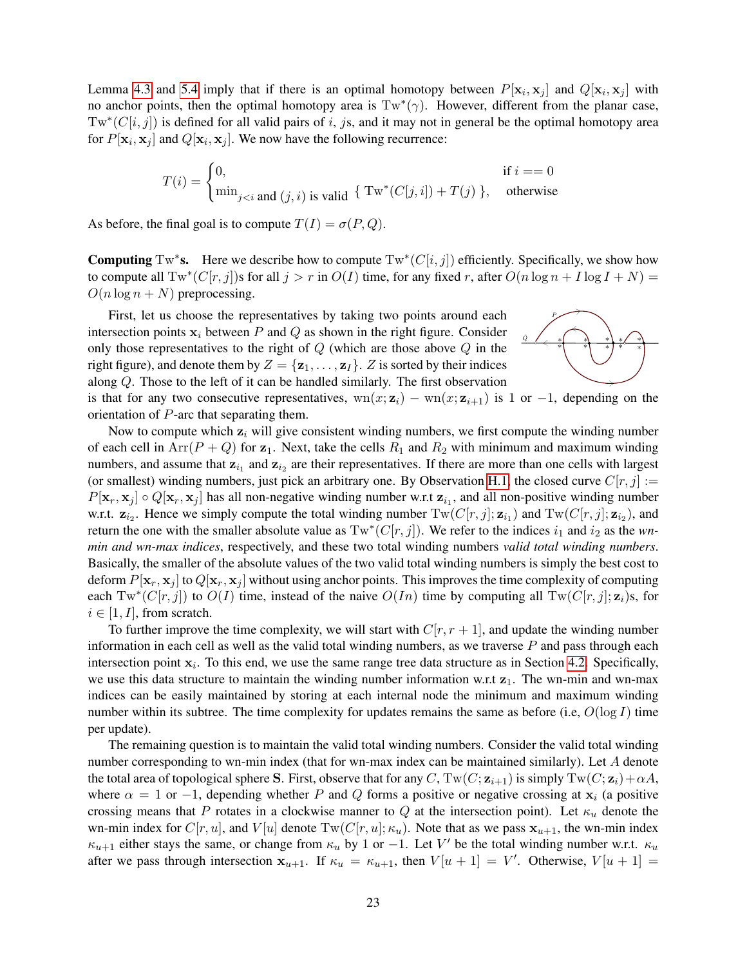Lemma [4.3](#page-5-4) and [5.4](#page-10-0) imply that if there is an optimal homotopy between  $P[\mathbf{x}_i, \mathbf{x}_j]$  and  $Q[\mathbf{x}_i, \mathbf{x}_j]$  with no anchor points, then the optimal homotopy area is  $Tw^*(\gamma)$ . However, different from the planar case,  $Tw^*(C[i, j])$  is defined for all valid pairs of i, js, and it may not in general be the optimal homotopy area for  $P[\mathbf{x}_i, \mathbf{x}_j]$  and  $Q[\mathbf{x}_i, \mathbf{x}_j]$ . We now have the following recurrence:

$$
T(i) = \begin{cases} 0, & \text{if } i == 0 \\ \min_{j < i} \text{ and } (j, i) \text{ is valid } \left\{ \text{ Tw}^*(C[j, i]) + T(j) \right\}, & \text{otherwise} \end{cases}
$$

As before, the final goal is to compute  $T(I) = \sigma(P, Q)$ .

**Computing** Tw<sup>\*</sup>s. Here we describe how to compute  $Tw^*(C[i,j])$  efficiently. Specifically, we show how to compute all  $Tw^*(C[r, j])$ s for all  $j > r$  in  $O(I)$  time, for any fixed r, after  $O(n \log n + I \log I + N) =$  $O(n \log n + N)$  preprocessing.

First, let us choose the representatives by taking two points around each intersection points  $x_i$  between P and Q as shown in the right figure. Consider only those representatives to the right of  $Q$  (which are those above  $Q$  in the right figure), and denote them by  $Z = \{z_1, \ldots, z_I\}$ . Z is sorted by their indices along Q. Those to the left of it can be handled similarly. The first observation is that for any two consecutive representatives,  $wn(x; z_i) - wn(x; z_{i+1})$  is 1 or -1, depending on the orientation of P-arc that separating them.



Now to compute which  $z_i$  will give consistent winding numbers, we first compute the winding number of each cell in  $Arr(P + Q)$  for  $z_1$ . Next, take the cells  $R_1$  and  $R_2$  with minimum and maximum winding numbers, and assume that  $z_{i_1}$  and  $z_{i_2}$  are their representatives. If there are more than one cells with largest (or smallest) winding numbers, just pick an arbitrary one. By Observation [H.1,](#page-21-3) the closed curve  $C[r, j] :=$  $P[\mathbf{x}_r, \mathbf{x}_j] \circ Q[\mathbf{x}_r, \mathbf{x}_j]$  has all non-negative winding number w.r.t  $\mathbf{z}_{i_1}$ , and all non-positive winding number w.r.t.  $z_{i_2}$ . Hence we simply compute the total winding number  $Tw(C[r, j]; z_{i_1})$  and  $Tw(C[r, j]; z_{i_2})$ , and return the one with the smaller absolute value as  $Tw^*(C[r,j])$ . We refer to the indices  $i_1$  and  $i_2$  as the *wnmin and wn-max indices*, respectively, and these two total winding numbers *valid total winding numbers*. Basically, the smaller of the absolute values of the two valid total winding numbers is simply the best cost to deform  $P[\mathbf{x}_r, \mathbf{x}_j]$  to  $Q[\mathbf{x}_r, \mathbf{x}_j]$  without using anchor points. This improves the time complexity of computing each  $Tw^*(C[r, j])$  to  $O(I)$  time, instead of the naive  $O(In)$  time by computing all  $Tw(C[r, j]; \mathbf{z}_i)$ s, for  $i \in [1, I]$ , from scratch.

To further improve the time complexity, we will start with  $C[r, r + 1]$ , and update the winding number information in each cell as well as the valid total winding numbers, as we traverse  $P$  and pass through each intersection point  $x_i$ . To this end, we use the same range tree data structure as in Section [4.2.](#page-6-0) Specifically, we use this data structure to maintain the winding number information w.r.t  $z_1$ . The wn-min and wn-max indices can be easily maintained by storing at each internal node the minimum and maximum winding number within its subtree. The time complexity for updates remains the same as before (i.e,  $O(\log I)$  time per update).

The remaining question is to maintain the valid total winding numbers. Consider the valid total winding number corresponding to wn-min index (that for wn-max index can be maintained similarly). Let A denote the total area of topological sphere S. First, observe that for any C,  $Tw(C; \mathbf{z}_{i+1})$  is simply  $Tw(C; \mathbf{z}_i)+\alpha A$ , where  $\alpha = 1$  or  $-1$ , depending whether P and Q forms a positive or negative crossing at  $x_i$  (a positive crossing means that P rotates in a clockwise manner to Q at the intersection point). Let  $\kappa_u$  denote the wn-min index for  $C[r, u]$ , and  $V[u]$  denote  $Tw(C[r, u]; \kappa_u)$ . Note that as we pass  $x_{u+1}$ , the wn-min index  $\kappa_{u+1}$  either stays the same, or change from  $\kappa_u$  by 1 or -1. Let V' be the total winding number w.r.t.  $\kappa_u$ after we pass through intersection  $x_{u+1}$ . If  $\kappa_u = \kappa_{u+1}$ , then  $V[u+1] = V'$ . Otherwise,  $V[u+1] =$